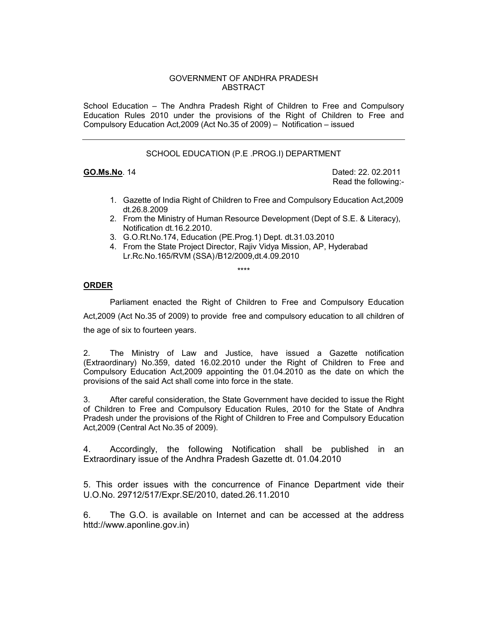## GOVERNMENT OF ANDHRA PRADESH ABSTRACT

School Education – The Andhra Pradesh Right of Children to Free and Compulsory Education Rules 2010 under the provisions of the Right of Children to Free and Compulsory Education Act,2009 (Act No.35 of 2009) – Notification – issued

## SCHOOL EDUCATION (P.E .PROG.I) DEPARTMENT

**GO.Ms.No**. 14 **Dated: 22. 02.2011** Read the following:-

- 1. Gazette of India Right of Children to Free and Compulsory Education Act,2009 dt.26.8.2009
- 2. From the Ministry of Human Resource Development (Dept of S.E. & Literacy), Notification dt.16.2.2010.
- 3. G.O.Rt.No.174, Education (PE.Prog.1) Dept. dt.31.03.2010
- 4. From the State Project Director, Rajiv Vidya Mission, AP, Hyderabad Lr.Rc.No.165/RVM (SSA) /B12/2009,dt.4.09.2010

\*\*\*\*

## **ORDER**

 Parliament enacted the Right of Children to Free and Compulsory Education Act,2009 (Act No.35 of 2009) to provide free and compulsory education to all children of the age of six to fourteen years.

2. The Ministry of Law and Justice, have issued a Gazette notification (Extraordinary) No.359, dated 16.02.2010 under the Right of Children to Free and Compulsory Education Act,2009 appointing the 01.04.2010 as the date on which the provisions of the said Act shall come into force in the state.

3. After careful consideration, the State Government have decided to issue the Right of Children to Free and Compulsory Education Rules, 2010 for the State of Andhra Pradesh under the provisions of the Right of Children to Free and Compulsory Education Act,2009 (Central Act No.35 of 2009).

4. Accordingly, the following Notification shall be published in an Extraordinary issue of the Andhra Pradesh Gazette dt. 01.04.2010

5. This order issues with the concurrence of Finance Department vide their U.O.No. 29712/517/Expr.SE/2010, dated.26.11.2010

6. The G.O. is available on Internet and can be accessed at the address httd://www.aponline.gov.in)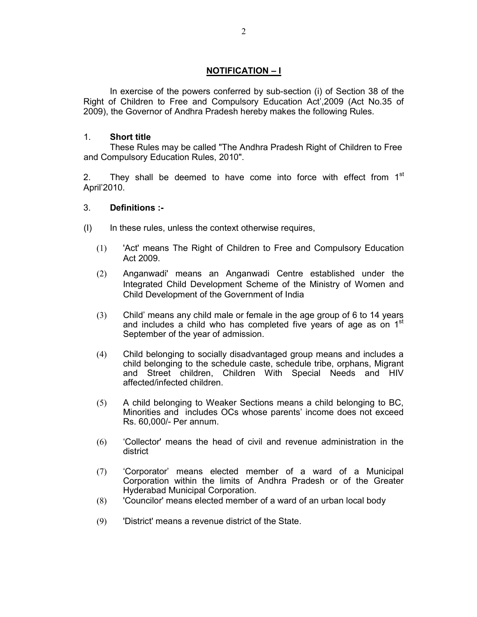# **NOTIFICATION – I**

 In exercise of the powers conferred by sub-section (i) of Section 38 of the Right of Children to Free and Compulsory Education Act',2009 (Act No.35 of 2009), the Governor of Andhra Pradesh hereby makes the following Rules.

## 1. **Short title**

 These Rules may be called "The Andhra Pradesh Right of Children to Free and Compulsory Education Rules, 2010".

2. They shall be deemed to have come into force with effect from  $1<sup>st</sup>$ April'2010.

# 3. **Definitions :-**

- (I) In these rules, unless the context otherwise requires,
	- (1) 'Act' means The Right of Children to Free and Compulsory Education Act 2009.
	- (2) Anganwadi' means an Anganwadi Centre established under the Integrated Child Development Scheme of the Ministry of Women and Child Development of the Government of India
	- (3) Child' means any child male or female in the age group of 6 to 14 years and includes a child who has completed five years of age as on 1<sup>st</sup> September of the year of admission.
	- (4) Child belonging to socially disadvantaged group means and includes a child belonging to the schedule caste, schedule tribe, orphans, Migrant and Street children, Children With Special Needs and HIV affected/infected children.
	- (5) A child belonging to Weaker Sections means a child belonging to BC, Minorities and includes OCs whose parents' income does not exceed Rs. 60,000/- Per annum.
	- (6) 'Collector' means the head of civil and revenue administration in the district
	- (7) 'Corporator' means elected member of a ward of a Municipal Corporation within the limits of Andhra Pradesh or of the Greater Hyderabad Municipal Corporation.
	- (8) 'Councilor' means elected member of a ward of an urban local body
	- (9) 'District' means a revenue district of the State.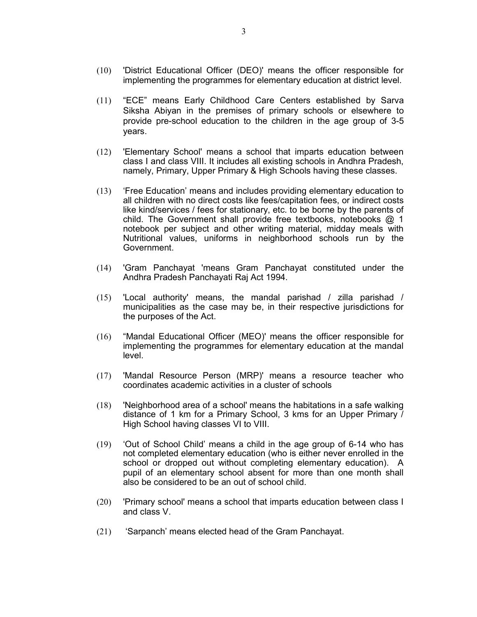- (10) 'District Educational Officer (DEO)' means the officer responsible for implementing the programmes for elementary education at district level.
- (11) "ECE" means Early Childhood Care Centers established by Sarva Siksha Abiyan in the premises of primary schools or elsewhere to provide pre-school education to the children in the age group of 3-5 years.
- (12) 'Elementary School' means a school that imparts education between class I and class VIII. It includes all existing schools in Andhra Pradesh, namely, Primary, Upper Primary & High Schools having these classes.
- (13) 'Free Education' means and includes providing elementary education to all children with no direct costs like fees/capitation fees, or indirect costs like kind/services / fees for stationary, etc. to be borne by the parents of child. The Government shall provide free textbooks, notebooks @ 1 notebook per subject and other writing material, midday meals with Nutritional values, uniforms in neighborhood schools run by the Government.
- (14) 'Gram Panchayat 'means Gram Panchayat constituted under the Andhra Pradesh Panchayati Raj Act 1994.
- (15) 'Local authority' means, the mandal parishad / zilla parishad / municipalities as the case may be, in their respective jurisdictions for the purposes of the Act.
- (16) "Mandal Educational Officer (MEO)' means the officer responsible for implementing the programmes for elementary education at the mandal level.
- (17) 'Mandal Resource Person (MRP)' means a resource teacher who coordinates academic activities in a cluster of schools
- (18) 'Neighborhood area of a school' means the habitations in a safe walking distance of 1 km for a Primary School, 3 kms for an Upper Primary / High School having classes VI to VIII.
- (19) 'Out of School Child' means a child in the age group of 6-14 who has not completed elementary education (who is either never enrolled in the school or dropped out without completing elementary education). A pupil of an elementary school absent for more than one month shall also be considered to be an out of school child.
- (20) 'Primary school' means a school that imparts education between class I and class V.
- (21) 'Sarpanch' means elected head of the Gram Panchayat.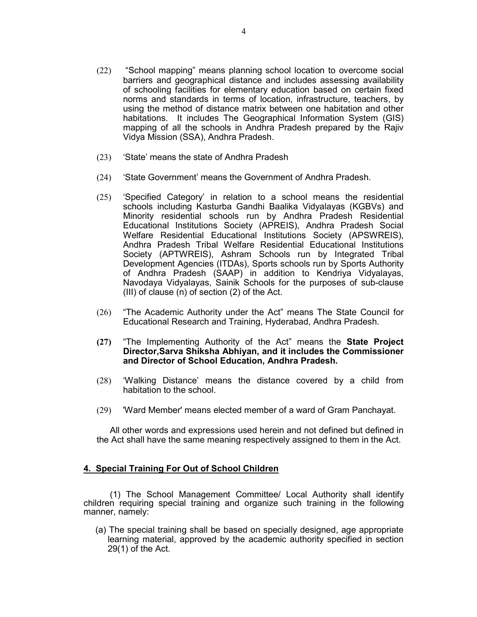- (22) "School mapping" means planning school location to overcome social barriers and geographical distance and includes assessing availability of schooling facilities for elementary education based on certain fixed norms and standards in terms of location, infrastructure, teachers, by using the method of distance matrix between one habitation and other habitations. It includes The Geographical Information System (GIS) mapping of all the schools in Andhra Pradesh prepared by the Rajiv Vidya Mission (SSA), Andhra Pradesh.
- (23) 'State' means the state of Andhra Pradesh
- (24) 'State Government' means the Government of Andhra Pradesh.
- (25) 'Specified Category' in relation to a school means the residential schools including Kasturba Gandhi Baalika Vidyalayas (KGBVs) and Minority residential schools run by Andhra Pradesh Residential Educational Institutions Society (APREIS), Andhra Pradesh Social Welfare Residential Educational Institutions Society (APSWREIS), Andhra Pradesh Tribal Welfare Residential Educational Institutions Society (APTWREIS), Ashram Schools run by Integrated Tribal Development Agencies (ITDAs), Sports schools run by Sports Authority of Andhra Pradesh (SAAP) in addition to Kendriya Vidyalayas, Navodaya Vidyalayas, Sainik Schools for the purposes of sub-clause (III) of clause (n) of section (2) of the Act.
- (26) "The Academic Authority under the Act" means The State Council for Educational Research and Training, Hyderabad, Andhra Pradesh.
- **(27)** "The Implementing Authority of the Act" means the **State Project Director,Sarva Shiksha Abhiyan, and it includes the Commissioner and Director of School Education, Andhra Pradesh.**
- (28) 'Walking Distance' means the distance covered by a child from habitation to the school.
- (29) 'Ward Member' means elected member of a ward of Gram Panchayat.

All other words and expressions used herein and not defined but defined in the Act shall have the same meaning respectively assigned to them in the Act.

# **4. Special Training For Out of School Children**

 (1) The School Management Committee/ Local Authority shall identify children requiring special training and organize such training in the following manner, namely:

(a) The special training shall be based on specially designed, age appropriate learning material, approved by the academic authority specified in section 29(1) of the Act.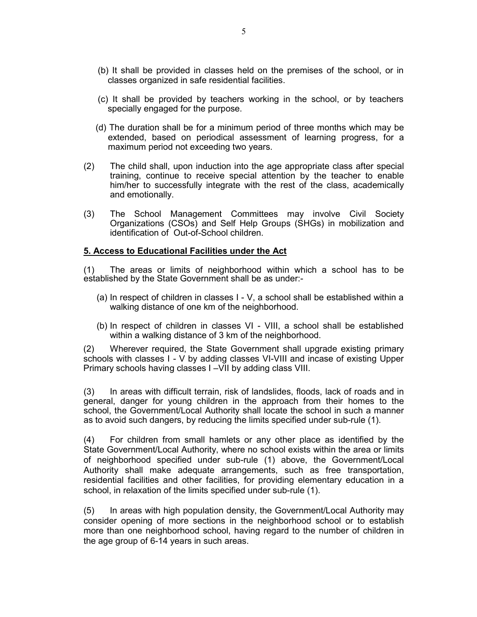- (b) It shall be provided in classes held on the premises of the school, or in classes organized in safe residential facilities.
- (c) It shall be provided by teachers working in the school, or by teachers specially engaged for the purpose.
- (d) The duration shall be for a minimum period of three months which may be extended, based on periodical assessment of learning progress, for a maximum period not exceeding two years.
- (2) The child shall, upon induction into the age appropriate class after special training, continue to receive special attention by the teacher to enable him/her to successfully integrate with the rest of the class, academically and emotionally.
- (3) The School Management Committees may involve Civil Society Organizations (CSOs) and Self Help Groups (SHGs) in mobilization and identification of Out-of-School children.

## **5. Access to Educational Facilities under the Act**

(1) The areas or limits of neighborhood within which a school has to be established by the State Government shall be as under:-

- (a) In respect of children in classes I V, a school shall be established within a walking distance of one km of the neighborhood.
- (b) In respect of children in classes VI VIII, a school shall be established within a walking distance of 3 km of the neighborhood.

(2) Wherever required, the State Government shall upgrade existing primary schools with classes I - V by adding classes VI-VIII and incase of existing Upper Primary schools having classes I –VII by adding class VIII.

(3) In areas with difficult terrain, risk of landslides, floods, lack of roads and in general, danger for young children in the approach from their homes to the school, the Government/Local Authority shall locate the school in such a manner as to avoid such dangers, by reducing the limits specified under sub-rule (1).

(4) For children from small hamlets or any other place as identified by the State Government/Local Authority, where no school exists within the area or limits of neighborhood specified under sub-rule (1) above, the Government/Local Authority shall make adequate arrangements, such as free transportation, residential facilities and other facilities, for providing elementary education in a school, in relaxation of the limits specified under sub-rule (1).

(5) In areas with high population density, the Government/Local Authority may consider opening of more sections in the neighborhood school or to establish more than one neighborhood school, having regard to the number of children in the age group of 6-14 years in such areas.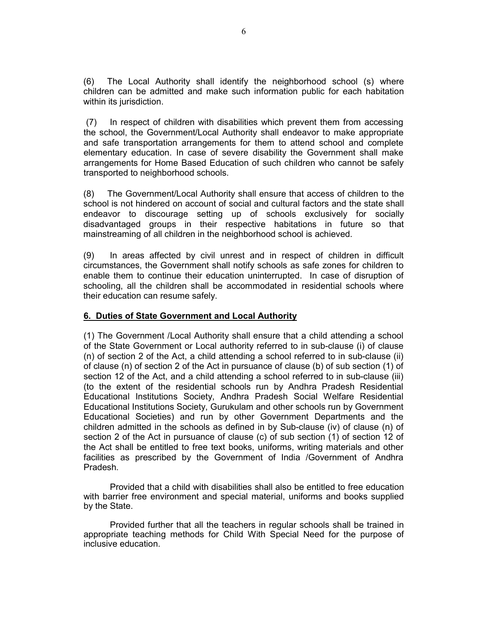(6) The Local Authority shall identify the neighborhood school (s) where children can be admitted and make such information public for each habitation within its jurisdiction.

 (7) In respect of children with disabilities which prevent them from accessing the school, the Government/Local Authority shall endeavor to make appropriate and safe transportation arrangements for them to attend school and complete elementary education. In case of severe disability the Government shall make arrangements for Home Based Education of such children who cannot be safely transported to neighborhood schools.

(8) The Government/Local Authority shall ensure that access of children to the school is not hindered on account of social and cultural factors and the state shall endeavor to discourage setting up of schools exclusively for socially disadvantaged groups in their respective habitations in future so that mainstreaming of all children in the neighborhood school is achieved.

(9) In areas affected by civil unrest and in respect of children in difficult circumstances, the Government shall notify schools as safe zones for children to enable them to continue their education uninterrupted. In case of disruption of schooling, all the children shall be accommodated in residential schools where their education can resume safely.

## **6. Duties of State Government and Local Authority**

(1) The Government /Local Authority shall ensure that a child attending a school of the State Government or Local authority referred to in sub-clause (i) of clause (n) of section 2 of the Act, a child attending a school referred to in sub-clause (ii) of clause (n) of section 2 of the Act in pursuance of clause (b) of sub section (1) of section 12 of the Act, and a child attending a school referred to in sub-clause (iii) (to the extent of the residential schools run by Andhra Pradesh Residential Educational Institutions Society, Andhra Pradesh Social Welfare Residential Educational Institutions Society, Gurukulam and other schools run by Government Educational Societies) and run by other Government Departments and the children admitted in the schools as defined in by Sub-clause (iv) of clause (n) of section 2 of the Act in pursuance of clause (c) of sub section (1) of section 12 of the Act shall be entitled to free text books, uniforms, writing materials and other facilities as prescribed by the Government of India /Government of Andhra Pradesh.

 Provided that a child with disabilities shall also be entitled to free education with barrier free environment and special material, uniforms and books supplied by the State.

 Provided further that all the teachers in regular schools shall be trained in appropriate teaching methods for Child With Special Need for the purpose of inclusive education.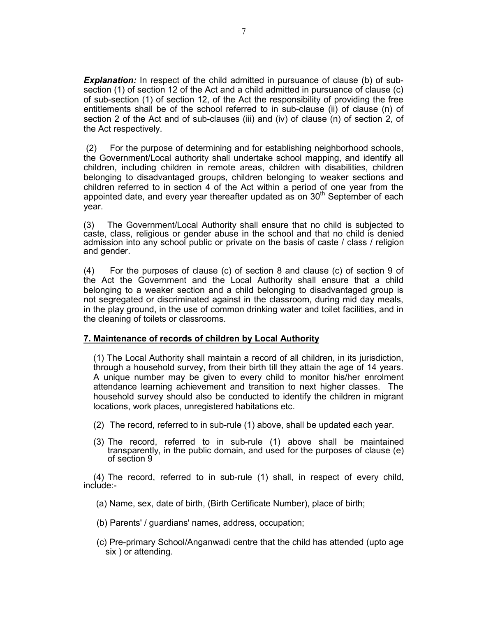**Explanation:** In respect of the child admitted in pursuance of clause (b) of subsection (1) of section 12 of the Act and a child admitted in pursuance of clause (c) of sub-section (1) of section 12, of the Act the responsibility of providing the free entitlements shall be of the school referred to in sub-clause (ii) of clause (n) of section 2 of the Act and of sub-clauses (iii) and (iv) of clause (n) of section 2, of the Act respectively.

 (2) For the purpose of determining and for establishing neighborhood schools, the Government/Local authority shall undertake school mapping, and identify all children, including children in remote areas, children with disabilities, children belonging to disadvantaged groups, children belonging to weaker sections and children referred to in section 4 of the Act within a period of one year from the appointed date, and every year thereafter updated as on  $30<sup>th</sup>$  September of each year.

(3) The Government/Local Authority shall ensure that no child is subjected to caste, class, religious or gender abuse in the school and that no child is denied admission into any school public or private on the basis of caste / class / religion and gender.

(4) For the purposes of clause (c) of section 8 and clause (c) of section 9 of the Act the Government and the Local Authority shall ensure that a child belonging to a weaker section and a child belonging to disadvantaged group is not segregated or discriminated against in the classroom, during mid day meals, in the play ground, in the use of common drinking water and toilet facilities, and in the cleaning of toilets or classrooms.

## **7. Maintenance of records of children by Local Authority**

 (1) The Local Authority shall maintain a record of all children, in its jurisdiction, through a household survey, from their birth till they attain the age of 14 years. A unique number may be given to every child to monitor his/her enrolment attendance learning achievement and transition to next higher classes. The household survey should also be conducted to identify the children in migrant locations, work places, unregistered habitations etc.

- (2) The record, referred to in sub-rule (1) above, shall be updated each year.
- (3) The record, referred to in sub-rule (1) above shall be maintained transparently, in the public domain, and used for the purposes of clause (e) of section 9

(4) The record, referred to in sub-rule (1) shall, in respect of every child, include:-

- (a) Name, sex, date of birth, (Birth Certificate Number), place of birth;
- (b) Parents' / guardians' names, address, occupation;
- (c) Pre-primary School/Anganwadi centre that the child has attended (upto age six ) or attending.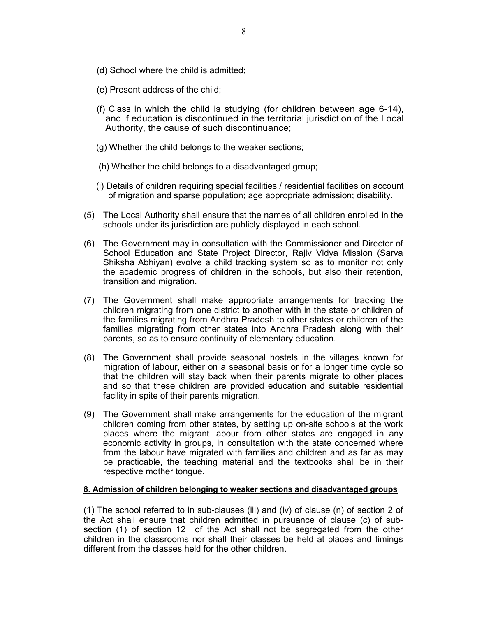- (d) School where the child is admitted;
- (e) Present address of the child;
- (f) Class in which the child is studying (for children between age 6-14), and if education is discontinued in the territorial jurisdiction of the Local Authority, the cause of such discontinuance;
- (g) Whether the child belongs to the weaker sections;
- (h) Whether the child belongs to a disadvantaged group;
- (i) Details of children requiring special facilities / residential facilities on account of migration and sparse population; age appropriate admission; disability.
- (5) The Local Authority shall ensure that the names of all children enrolled in the schools under its jurisdiction are publicly displayed in each school.
- (6) The Government may in consultation with the Commissioner and Director of School Education and State Project Director, Rajiv Vidya Mission (Sarva Shiksha Abhiyan) evolve a child tracking system so as to monitor not only the academic progress of children in the schools, but also their retention, transition and migration.
- (7) The Government shall make appropriate arrangements for tracking the children migrating from one district to another with in the state or children of the families migrating from Andhra Pradesh to other states or children of the families migrating from other states into Andhra Pradesh along with their parents, so as to ensure continuity of elementary education.
- (8) The Government shall provide seasonal hostels in the villages known for migration of labour, either on a seasonal basis or for a longer time cycle so that the children will stay back when their parents migrate to other places and so that these children are provided education and suitable residential facility in spite of their parents migration.
- (9) The Government shall make arrangements for the education of the migrant children coming from other states, by setting up on-site schools at the work places where the migrant labour from other states are engaged in any economic activity in groups, in consultation with the state concerned where from the labour have migrated with families and children and as far as may be practicable, the teaching material and the textbooks shall be in their respective mother tongue.

#### **8. Admission of children belonging to weaker sections and disadvantaged groups**

(1) The school referred to in sub-clauses (iii) and (iv) of clause (n) of section 2 of the Act shall ensure that children admitted in pursuance of clause (c) of subsection (1) of section 12 of the Act shall not be segregated from the other children in the classrooms nor shall their classes be held at places and timings different from the classes held for the other children.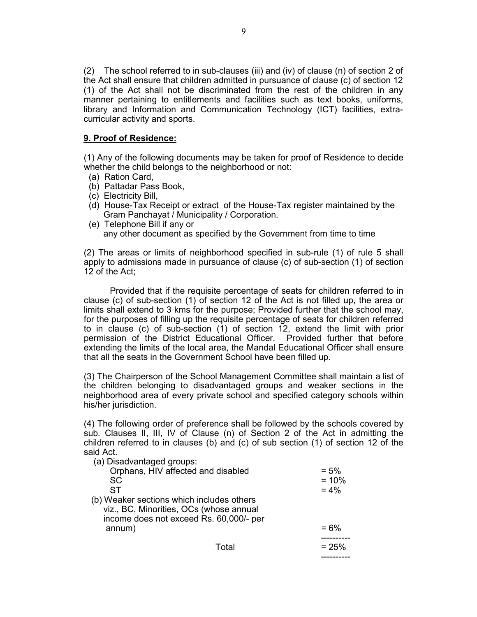(2) The school referred to in sub-clauses (iii) and (iv) of clause (n) of section 2 of the Act shall ensure that children admitted in pursuance of clause (c) of section 12 (1) of the Act shall not be discriminated from the rest of the children in any manner pertaining to entitlements and facilities such as text books, uniforms, library and Information and Communication Technology (ICT) facilities, extracurricular activity and sports.

# **9. Proof of Residence:**

(1) Any of the following documents may be taken for proof of Residence to decide whether the child belongs to the neighborhood or not:

- (a) Ration Card,
- (b) Pattadar Pass Book,
- (c) Electricity Bill,
- (d) House-Tax Receipt or extract of the House-Tax register maintained by the Gram Panchayat / Municipality / Corporation.
- (e) Telephone Bill if any or any other document as specified by the Government from time to time

(2) The areas or limits of neighborhood specified in sub-rule (1) of rule 5 shall apply to admissions made in pursuance of clause (c) of sub-section (1) of section 12 of the Act;

 Provided that if the requisite percentage of seats for children referred to in clause (c) of sub-section (1) of section 12 of the Act is not filled up, the area or limits shall extend to 3 kms for the purpose; Provided further that the school may, for the purposes of filling up the requisite percentage of seats for children referred to in clause (c) of sub-section (1) of section 12, extend the limit with prior permission of the District Educational Officer. Provided further that before extending the limits of the local area, the Mandal Educational Officer shall ensure that all the seats in the Government School have been filled up.

(3) The Chairperson of the School Management Committee shall maintain a list of the children belonging to disadvantaged groups and weaker sections in the neighborhood area of every private school and specified category schools within his/her jurisdiction.

(4) The following order of preference shall be followed by the schools covered by sub. Clauses II, III, IV of Clause (n) of Section 2 of the Act in admitting the children referred to in clauses (b) and (c) of sub section (1) of section 12 of the said Act.

| (a) Disadvantaged groups:                 |       |         |
|-------------------------------------------|-------|---------|
| Orphans, HIV affected and disabled        |       | $= 5\%$ |
| SC                                        |       | $= 10%$ |
| ST                                        |       | $= 4\%$ |
| (b) Weaker sections which includes others |       |         |
| viz., BC, Minorities, OCs (whose annual   |       |         |
| income does not exceed Rs. 60,000/- per   |       |         |
| annum)                                    |       | $= 6\%$ |
|                                           |       |         |
|                                           | Total | $= 25%$ |
|                                           |       |         |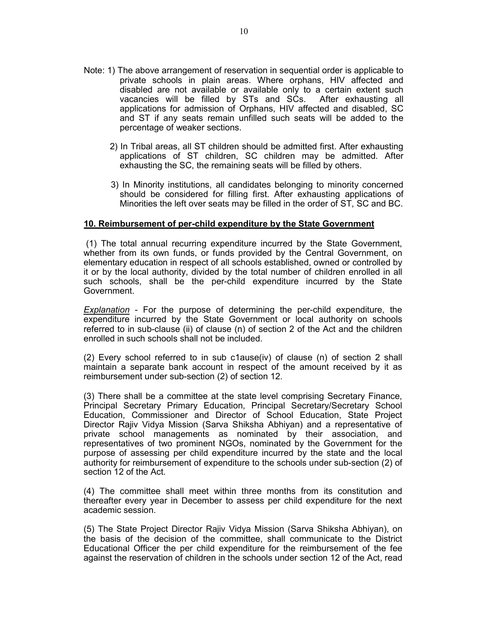- Note: 1) The above arrangement of reservation in sequential order is applicable to private schools in plain areas. Where orphans, HIV affected and disabled are not available or available only to a certain extent such vacancies will be filled by STs and SCs. After exhausting all applications for admission of Orphans, HIV affected and disabled, SC and ST if any seats remain unfilled such seats will be added to the percentage of weaker sections.
	- 2) In Tribal areas, all ST children should be admitted first. After exhausting applications of ST children, SC children may be admitted. After exhausting the SC, the remaining seats will be filled by others.
	- 3) In Minority institutions, all candidates belonging to minority concerned should be considered for filling first. After exhausting applications of Minorities the left over seats may be filled in the order of ST, SC and BC.

## **10. Reimbursement of per-child expenditure by the State Government**

 (1) The total annual recurring expenditure incurred by the State Government, whether from its own funds, or funds provided by the Central Government, on elementary education in respect of all schools established, owned or controlled by it or by the local authority, divided by the total number of children enrolled in all such schools, shall be the per-child expenditure incurred by the State Government.

*Explanation* - For the purpose of determining the per-child expenditure, the expenditure incurred by the State Government or local authority on schools referred to in sub-clause (ii) of clause (n) of section 2 of the Act and the children enrolled in such schools shall not be included.

(2) Every school referred to in sub c1ause(iv) of clause (n) of section 2 shall maintain a separate bank account in respect of the amount received by it as reimbursement under sub-section (2) of section 12.

(3) There shall be a committee at the state level comprising Secretary Finance, Principal Secretary Primary Education, Principal Secretary/Secretary School Education, Commissioner and Director of School Education, State Project Director Rajiv Vidya Mission (Sarva Shiksha Abhiyan) and a representative of private school managements as nominated by their association, and representatives of two prominent NGOs, nominated by the Government for the purpose of assessing per child expenditure incurred by the state and the local authority for reimbursement of expenditure to the schools under sub-section (2) of section 12 of the Act.

(4) The committee shall meet within three months from its constitution and thereafter every year in December to assess per child expenditure for the next academic session.

(5) The State Project Director Rajiv Vidya Mission (Sarva Shiksha Abhiyan), on the basis of the decision of the committee, shall communicate to the District Educational Officer the per child expenditure for the reimbursement of the fee against the reservation of children in the schools under section 12 of the Act, read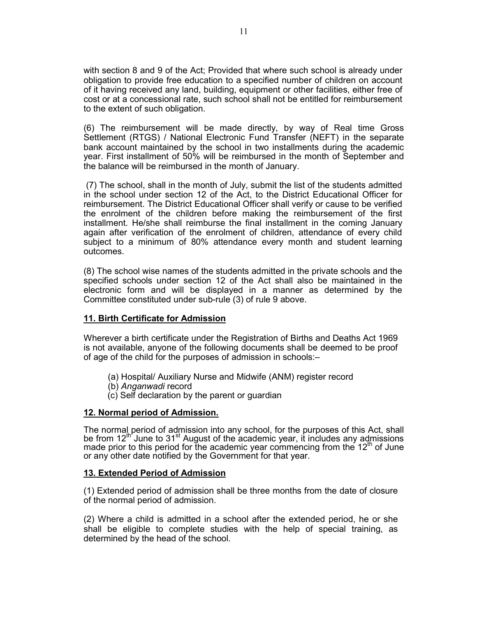with section 8 and 9 of the Act; Provided that where such school is already under obligation to provide free education to a specified number of children on account of it having received any land, building, equipment or other facilities, either free of cost or at a concessional rate, such school shall not be entitled for reimbursement to the extent of such obligation.

(6) The reimbursement will be made directly, by way of Real time Gross Settlement (RTGS) / National Electronic Fund Transfer (NEFT) in the separate bank account maintained by the school in two installments during the academic year. First installment of 50% will be reimbursed in the month of September and the balance will be reimbursed in the month of January.

 (7) The school, shall in the month of July, submit the list of the students admitted in the school under section 12 of the Act, to the District Educational Officer for reimbursement. The District Educational Officer shall verify or cause to be verified the enrolment of the children before making the reimbursement of the first installment. He/she shall reimburse the final installment in the coming January again after verification of the enrolment of children, attendance of every child subject to a minimum of 80% attendance every month and student learning outcomes.

(8) The school wise names of the students admitted in the private schools and the specified schools under section 12 of the Act shall also be maintained in the electronic form and will be displayed in a manner as determined by the Committee constituted under sub-rule (3) of rule 9 above.

## **11. Birth Certificate for Admission**

Wherever a birth certificate under the Registration of Births and Deaths Act 1969 is not available, anyone of the following documents shall be deemed to be proof of age of the child for the purposes of admission in schools:–

- (a) Hospital/ Auxiliary Nurse and Midwife (ANM) register record
- (b) *Anganwadi* record
- (c) Self declaration by the parent or guardian

#### **12. Normal period of Admission.**

The normal period of admission into any school, for the purposes of this Act, shall be from 12<sup>th</sup> June to 31<sup>st</sup> August of the academic year, it includes any admissions made prior to this period for the academic year commencing from the 12<sup>th</sup> of June or any other date notified by the Government for that year.

#### **13. Extended Period of Admission**

(1) Extended period of admission shall be three months from the date of closure of the normal period of admission.

(2) Where a child is admitted in a school after the extended period, he or she shall be eligible to complete studies with the help of special training, as determined by the head of the school.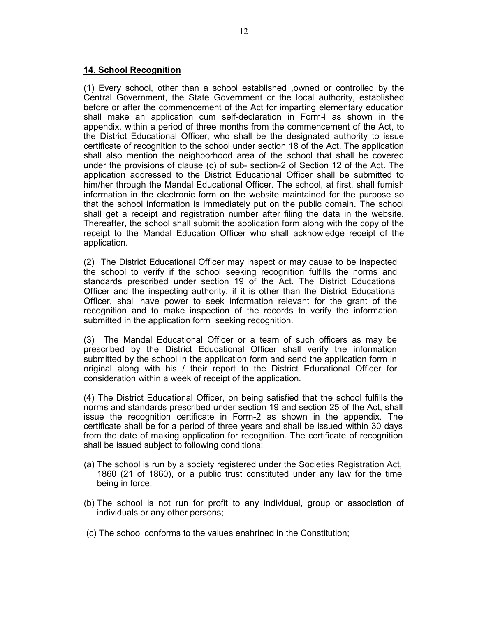# **14. School Recognition**

(1) Every school, other than a school established ,owned or controlled by the Central Government, the State Government or the local authority, established before or after the commencement of the Act for imparting elementary education shall make an application cum self-declaration in Form-l as shown in the appendix, within a period of three months from the commencement of the Act, to the District Educational Officer, who shall be the designated authority to issue certificate of recognition to the school under section 18 of the Act. The application shall also mention the neighborhood area of the school that shall be covered under the provisions of clause (c) of sub- section-2 of Section 12 of the Act. The application addressed to the District Educational Officer shall be submitted to him/her through the Mandal Educational Officer. The school, at first, shall furnish information in the electronic form on the website maintained for the purpose so that the school information is immediately put on the public domain. The school shall get a receipt and registration number after filing the data in the website. Thereafter, the school shall submit the application form along with the copy of the receipt to the Mandal Education Officer who shall acknowledge receipt of the application.

(2) The District Educational Officer may inspect or may cause to be inspected the school to verify if the school seeking recognition fulfills the norms and standards prescribed under section 19 of the Act. The District Educational Officer and the inspecting authority, if it is other than the District Educational Officer, shall have power to seek information relevant for the grant of the recognition and to make inspection of the records to verify the information submitted in the application form seeking recognition.

(3) The Mandal Educational Officer or a team of such officers as may be prescribed by the District Educational Officer shall verify the information submitted by the school in the application form and send the application form in original along with his / their report to the District Educational Officer for consideration within a week of receipt of the application.

(4) The District Educational Officer, on being satisfied that the school fulfills the norms and standards prescribed under section 19 and section 25 of the Act, shall issue the recognition certificate in Form-2 as shown in the appendix. The certificate shall be for a period of three years and shall be issued within 30 days from the date of making application for recognition. The certificate of recognition shall be issued subject to following conditions:

- (a) The school is run by a society registered under the Societies Registration Act, 1860 (21 of 1860), or a public trust constituted under any law for the time being in force;
- (b) The school is not run for profit to any individual, group or association of individuals or any other persons;
- (c) The school conforms to the values enshrined in the Constitution;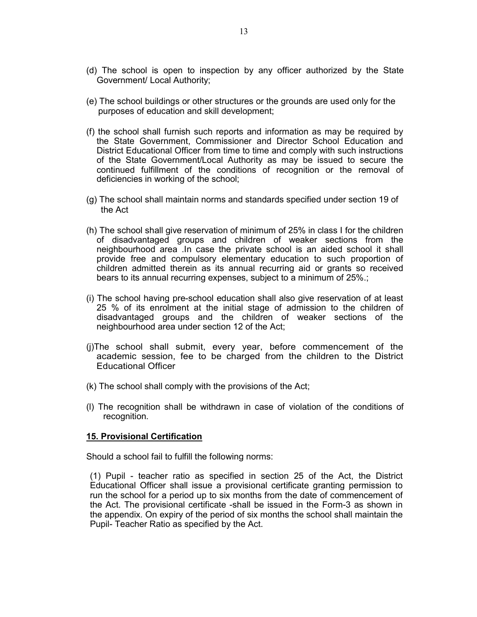- (d) The school is open to inspection by any officer authorized by the State Government/ Local Authority;
- (e) The school buildings or other structures or the grounds are used only for the purposes of education and skill development;
- (f) the school shall furnish such reports and information as may be required by the State Government, Commissioner and Director School Education and District Educational Officer from time to time and comply with such instructions of the State Government/Local Authority as may be issued to secure the continued fulfillment of the conditions of recognition or the removal of deficiencies in working of the school;
- (g) The school shall maintain norms and standards specified under section 19 of the Act
- (h) The school shall give reservation of minimum of 25% in class I for the children of disadvantaged groups and children of weaker sections from the neighbourhood area .In case the private school is an aided school it shall provide free and compulsory elementary education to such proportion of children admitted therein as its annual recurring aid or grants so received bears to its annual recurring expenses, subject to a minimum of 25%.;
- (i) The school having pre-school education shall also give reservation of at least 25 % of its enrolment at the initial stage of admission to the children of disadvantaged groups and the children of weaker sections of the neighbourhood area under section 12 of the Act;
- (j)The school shall submit, every year, before commencement of the academic session, fee to be charged from the children to the District Educational Officer
- (k) The school shall comply with the provisions of the Act;
- (l) The recognition shall be withdrawn in case of violation of the conditions of recognition.

## **15. Provisional Certification**

Should a school fail to fulfill the following norms:

(1) Pupil - teacher ratio as specified in section 25 of the Act, the District Educational Officer shall issue a provisional certificate granting permission to run the school for a period up to six months from the date of commencement of the Act. The provisional certificate -shall be issued in the Form-3 as shown in the appendix. On expiry of the period of six months the school shall maintain the Pupil- Teacher Ratio as specified by the Act.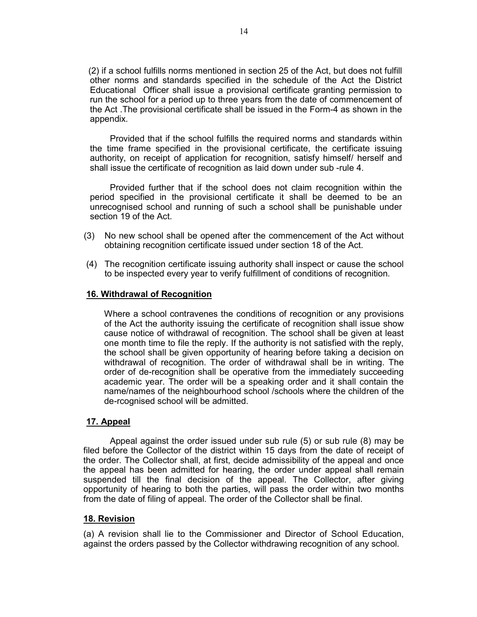(2) if a school fulfills norms mentioned in section 25 of the Act, but does not fulfill other norms and standards specified in the schedule of the Act the District Educational Officer shall issue a provisional certificate granting permission to run the school for a period up to three years from the date of commencement of the Act .The provisional certificate shall be issued in the Form-4 as shown in the appendix.

 Provided that if the school fulfills the required norms and standards within the time frame specified in the provisional certificate, the certificate issuing authority, on receipt of application for recognition, satisfy himself/ herself and shall issue the certificate of recognition as laid down under sub -rule 4.

 Provided further that if the school does not claim recognition within the period specified in the provisional certificate it shall be deemed to be an unrecognised school and running of such a school shall be punishable under section 19 of the Act.

- (3) No new school shall be opened after the commencement of the Act without obtaining recognition certificate issued under section 18 of the Act.
- (4) The recognition certificate issuing authority shall inspect or cause the school to be inspected every year to verify fulfillment of conditions of recognition.

## **16. Withdrawal of Recognition**

 Where a school contravenes the conditions of recognition or any provisions of the Act the authority issuing the certificate of recognition shall issue show cause notice of withdrawal of recognition. The school shall be given at least one month time to file the reply. If the authority is not satisfied with the reply, the school shall be given opportunity of hearing before taking a decision on withdrawal of recognition. The order of withdrawal shall be in writing. The order of de-recognition shall be operative from the immediately succeeding academic year. The order will be a speaking order and it shall contain the name/names of the neighbourhood school /schools where the children of the de-rcognised school will be admitted.

## **17. Appeal**

 Appeal against the order issued under sub rule (5) or sub rule (8) may be filed before the Collector of the district within 15 days from the date of receipt of the order. The Collector shall, at first, decide admissibility of the appeal and once the appeal has been admitted for hearing, the order under appeal shall remain suspended till the final decision of the appeal. The Collector, after giving opportunity of hearing to both the parties, will pass the order within two months from the date of filing of appeal. The order of the Collector shall be final.

#### **18. Revision**

(a) A revision shall lie to the Commissioner and Director of School Education, against the orders passed by the Collector withdrawing recognition of any school.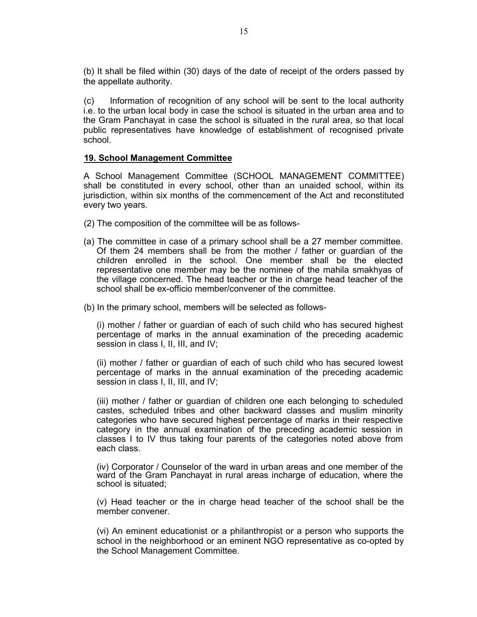(b) It shall be filed within (30) days of the date of receipt of the orders passed by the appellate authority.

(c) Information of recognition of any school will be sent to the local authority i.e. to the urban local body in case the school is situated in the urban area and to the Gram Panchayat in case the school is situated in the rural area, so that local public representatives have knowledge of establishment of recognised private school.

## **19. School Management Committee**

A School Management Committee (SCHOOL MANAGEMENT COMMITTEE) shall be constituted in every school, other than an unaided school, within its jurisdiction, within six months of the commencement of the Act and reconstituted every two years.

- (2) The composition of the committee will be as follows-
- (a) The committee in case of a primary school shall be a 27 member committee. Of them 24 members shall be from the mother / father or guardian of the children enrolled in the school. One member shall be the elected representative one member may be the nominee of the mahila smakhyas of the village concerned. The head teacher or the in charge head teacher of the school shall be ex-officio member/convener of the committee.
- (b) In the primary school, members will be selected as follows-

(i) mother / father or guardian of each of such child who has secured highest percentage of marks in the annual examination of the preceding academic session in class I, II, III, and IV;

(ii) mother / father or guardian of each of such child who has secured lowest percentage of marks in the annual examination of the preceding academic session in class I, II, III, and IV;

(iii) mother / father or guardian of children one each belonging to scheduled castes, scheduled tribes and other backward classes and muslim minority categories who have secured highest percentage of marks in their respective category in the annual examination of the preceding academic session in classes I to IV thus taking four parents of the categories noted above from each class.

(iv) Corporator / Counselor of the ward in urban areas and one member of the ward of the Gram Panchayat in rural areas incharge of education, where the school is situated;

(v) Head teacher or the in charge head teacher of the school shall be the member convener.

(vi) An eminent educationist or a philanthropist or a person who supports the school in the neighborhood or an eminent NGO representative as co-opted by the School Management Committee.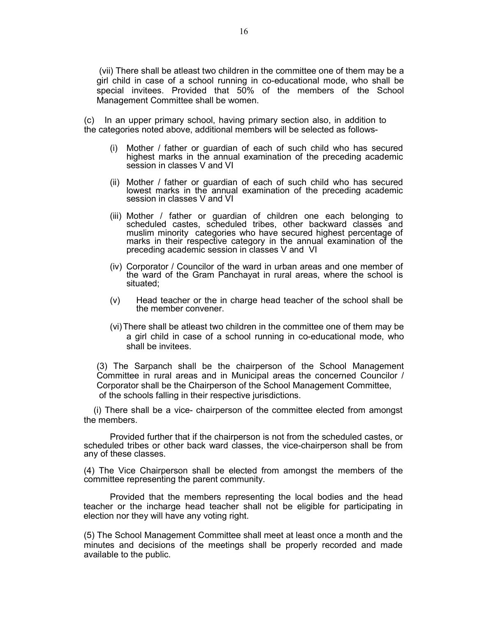(vii) There shall be atleast two children in the committee one of them may be a girl child in case of a school running in co-educational mode, who shall be special invitees. Provided that 50% of the members of the School Management Committee shall be women.

(c) In an upper primary school, having primary section also, in addition to the categories noted above, additional members will be selected as follows-

- (i) Mother / father or guardian of each of such child who has secured highest marks in the annual examination of the preceding academic session in classes V and VI
- (ii) Mother / father or guardian of each of such child who has secured lowest marks in the annual examination of the preceding academic session in classes V and VI
- (iii) Mother / father or guardian of children one each belonging to scheduled castes, scheduled tribes, other backward classes and muslim minority categories who have secured highest percentage of marks in their respective category in the annual examination of the preceding academic session in classes V and VI
- (iv) Corporator / Councilor of the ward in urban areas and one member of the ward of the Gram Panchayat in rural areas, where the school is situated;
- (v) Head teacher or the in charge head teacher of the school shall be the member convener.
- (vi) There shall be atleast two children in the committee one of them may be a girl child in case of a school running in co-educational mode, who shall be invitees.

(3) The Sarpanch shall be the chairperson of the School Management Committee in rural areas and in Municipal areas the concerned Councilor / Corporator shall be the Chairperson of the School Management Committee, of the schools falling in their respective jurisdictions.

 (i) There shall be a vice- chairperson of the committee elected from amongst the members.

Provided further that if the chairperson is not from the scheduled castes, or scheduled tribes or other back ward classes, the vice-chairperson shall be from any of these classes.

(4) The Vice Chairperson shall be elected from amongst the members of the committee representing the parent community.

Provided that the members representing the local bodies and the head teacher or the incharge head teacher shall not be eligible for participating in election nor they will have any voting right.

(5) The School Management Committee shall meet at least once a month and the minutes and decisions of the meetings shall be properly recorded and made available to the public.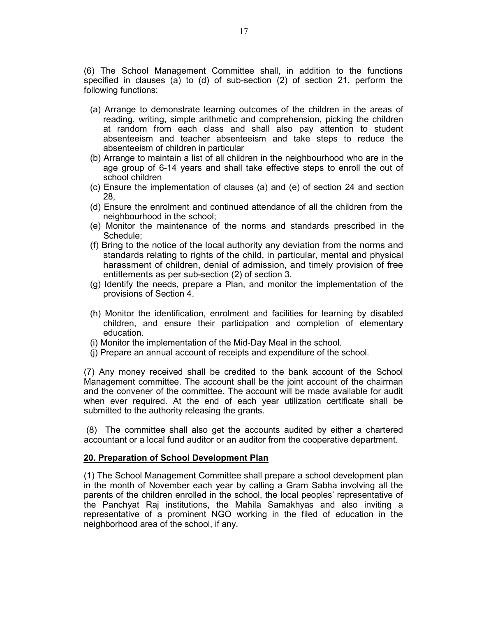(6) The School Management Committee shall, in addition to the functions specified in clauses (a) to (d) of sub-section (2) of section 21, perform the following functions:

- (a) Arrange to demonstrate learning outcomes of the children in the areas of reading, writing, simple arithmetic and comprehension, picking the children at random from each class and shall also pay attention to student absenteeism and teacher absenteeism and take steps to reduce the absenteeism of children in particular
- (b) Arrange to maintain a list of all children in the neighbourhood who are in the age group of 6-14 years and shall take effective steps to enroll the out of school children
- (c) Ensure the implementation of clauses (a) and (e) of section 24 and section 28,
- (d) Ensure the enrolment and continued attendance of all the children from the neighbourhood in the school;
- (e) Monitor the maintenance of the norms and standards prescribed in the Schedule;
- (f) Bring to the notice of the local authority any deviation from the norms and standards relating to rights of the child, in particular, mental and physical harassment of children, denial of admission, and timely provision of free entitlements as per sub-section (2) of section 3.
- (g) Identify the needs, prepare a Plan, and monitor the implementation of the provisions of Section 4.
- (h) Monitor the identification, enrolment and facilities for learning by disabled children, and ensure their participation and completion of elementary education.
- (i) Monitor the implementation of the Mid-Day Meal in the school.
- (j) Prepare an annual account of receipts and expenditure of the school.

(7) Any money received shall be credited to the bank account of the School Management committee. The account shall be the joint account of the chairman and the convener of the committee. The account will be made available for audit when ever required. At the end of each year utilization certificate shall be submitted to the authority releasing the grants.

 (8) The committee shall also get the accounts audited by either a chartered accountant or a local fund auditor or an auditor from the cooperative department.

## **20. Preparation of School Development Plan**

(1) The School Management Committee shall prepare a school development plan in the month of November each year by calling a Gram Sabha involving all the parents of the children enrolled in the school, the local peoples' representative of the Panchyat Raj institutions, the Mahila Samakhyas and also inviting a representative of a prominent NGO working in the filed of education in the neighborhood area of the school, if any.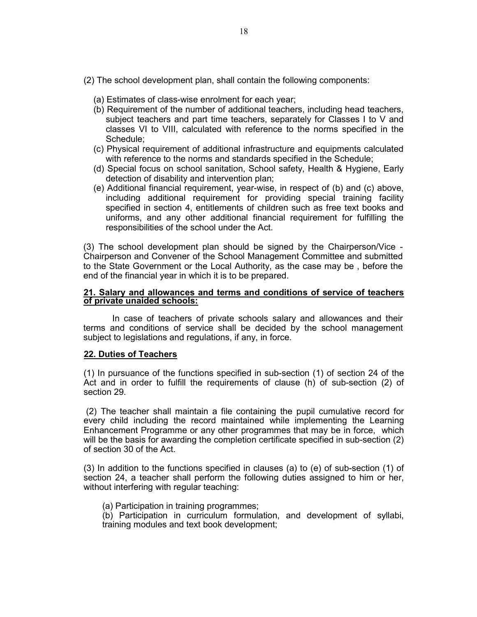- (2) The school development plan, shall contain the following components:
	- (a) Estimates of class-wise enrolment for each year;
	- (b) Requirement of the number of additional teachers, including head teachers, subject teachers and part time teachers, separately for Classes I to V and classes VI to VIII, calculated with reference to the norms specified in the Schedule;
	- (c) Physical requirement of additional infrastructure and equipments calculated with reference to the norms and standards specified in the Schedule;
	- (d) Special focus on school sanitation, School safety, Health & Hygiene, Early detection of disability and intervention plan;
	- (e) Additional financial requirement, year-wise, in respect of (b) and (c) above, including additional requirement for providing special training facility specified in section 4, entitlements of children such as free text books and uniforms, and any other additional financial requirement for fulfilling the responsibilities of the school under the Act.

(3) The school development plan should be signed by the Chairperson/Vice - Chairperson and Convener of the School Management Committee and submitted to the State Government or the Local Authority, as the case may be , before the end of the financial year in which it is to be prepared.

#### **21. Salary and allowances and terms and conditions of service of teachers of private unaided schools:**

 In case of teachers of private schools salary and allowances and their terms and conditions of service shall be decided by the school management subject to legislations and regulations, if any, in force.

## **22. Duties of Teachers**

(1) In pursuance of the functions specified in sub-section (1) of section 24 of the Act and in order to fulfill the requirements of clause (h) of sub-section (2) of section 29.

 (2) The teacher shall maintain a file containing the pupil cumulative record for every child including the record maintained while implementing the Learning Enhancement Programme or any other programmes that may be in force, which will be the basis for awarding the completion certificate specified in sub-section (2) of section 30 of the Act.

(3) In addition to the functions specified in clauses (a) to (e) of sub-section (1) of section 24, a teacher shall perform the following duties assigned to him or her, without interfering with regular teaching:

(a) Participation in training programmes;

(b) Participation in curriculum formulation, and development of syllabi, training modules and text book development;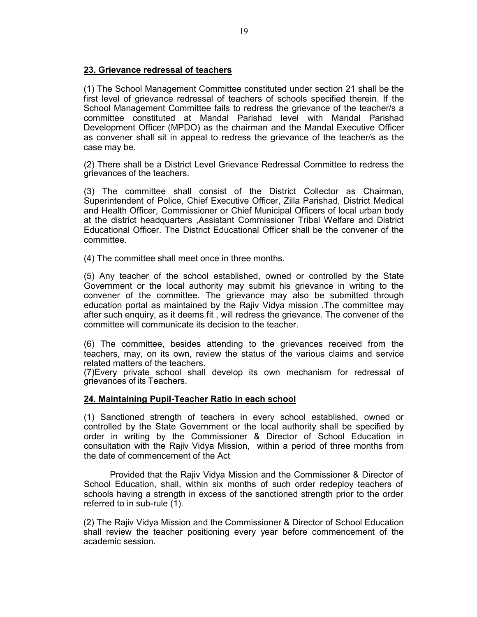# **23. Grievance redressal of teachers**

(1) The School Management Committee constituted under section 21 shall be the first level of grievance redressal of teachers of schools specified therein. If the School Management Committee fails to redress the grievance of the teacher/s a committee constituted at Mandal Parishad level with Mandal Parishad Development Officer (MPDO) as the chairman and the Mandal Executive Officer as convener shall sit in appeal to redress the grievance of the teacher/s as the case may be.

(2) There shall be a District Level Grievance Redressal Committee to redress the grievances of the teachers.

(3) The committee shall consist of the District Collector as Chairman, Superintendent of Police, Chief Executive Officer, Zilla Parishad, District Medical and Health Officer, Commissioner or Chief Municipal Officers of local urban body at the district headquarters ,Assistant Commissioner Tribal Welfare and District Educational Officer. The District Educational Officer shall be the convener of the committee.

(4) The committee shall meet once in three months.

(5) Any teacher of the school established, owned or controlled by the State Government or the local authority may submit his grievance in writing to the convener of the committee. The grievance may also be submitted through education portal as maintained by the Rajiv Vidya mission .The committee may after such enquiry, as it deems fit , will redress the grievance. The convener of the committee will communicate its decision to the teacher.

(6) The committee, besides attending to the grievances received from the teachers, may, on its own, review the status of the various claims and service related matters of the teachers.

(7)Every private school shall develop its own mechanism for redressal of grievances of its Teachers.

# **24. Maintaining Pupil-Teacher Ratio in each school**

(1) Sanctioned strength of teachers in every school established, owned or controlled by the State Government or the local authority shall be specified by order in writing by the Commissioner & Director of School Education in consultation with the Rajiv Vidya Mission, within a period of three months from the date of commencement of the Act

 Provided that the Rajiv Vidya Mission and the Commissioner & Director of School Education, shall, within six months of such order redeploy teachers of schools having a strength in excess of the sanctioned strength prior to the order referred to in sub-rule (1).

(2) The Rajiv Vidya Mission and the Commissioner & Director of School Education shall review the teacher positioning every year before commencement of the academic session.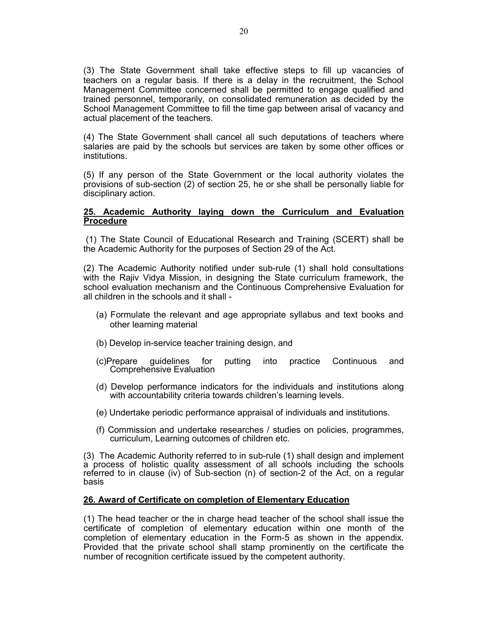(3) The State Government shall take effective steps to fill up vacancies of teachers on a regular basis. If there is a delay in the recruitment, the School Management Committee concerned shall be permitted to engage qualified and trained personnel, temporarily, on consolidated remuneration as decided by the School Management Committee to fill the time gap between arisal of vacancy and actual placement of the teachers.

(4) The State Government shall cancel all such deputations of teachers where salaries are paid by the schools but services are taken by some other offices or institutions.

(5) If any person of the State Government or the local authority violates the provisions of sub-section (2) of section 25, he or she shall be personally liable for disciplinary action.

## **25. Academic Authority laying down the Curriculum and Evaluation Procedure**

 (1) The State Council of Educational Research and Training (SCERT) shall be the Academic Authority for the purposes of Section 29 of the Act.

(2) The Academic Authority notified under sub-rule (1) shall hold consultations with the Rajiv Vidya Mission, in designing the State curriculum framework, the school evaluation mechanism and the Continuous Comprehensive Evaluation for all children in the schools and it shall -

- (a) Formulate the relevant and age appropriate syllabus and text books and other learning material
- (b) Develop in-service teacher training design, and
- (c)Prepare guidelines for putting into practice Continuous and Comprehensive Evaluation
- (d) Develop performance indicators for the individuals and institutions along with accountability criteria towards children's learning levels.
- (e) Undertake periodic performance appraisal of individuals and institutions.
- (f) Commission and undertake researches / studies on policies, programmes, curriculum, Learning outcomes of children etc.

(3) The Academic Authority referred to in sub-rule (1) shall design and implement a process of holistic quality assessment of all schools including the schools referred to in clause (iv) of Sub-section (n) of section-2 of the Act, on a regular basis

## **26. Award of Certificate on completion of Elementary Education**

(1) The head teacher or the in charge head teacher of the school shall issue the certificate of completion of elementary education within one month of the completion of elementary education in the Form-5 as shown in the appendix. Provided that the private school shall stamp prominently on the certificate the number of recognition certificate issued by the competent authority.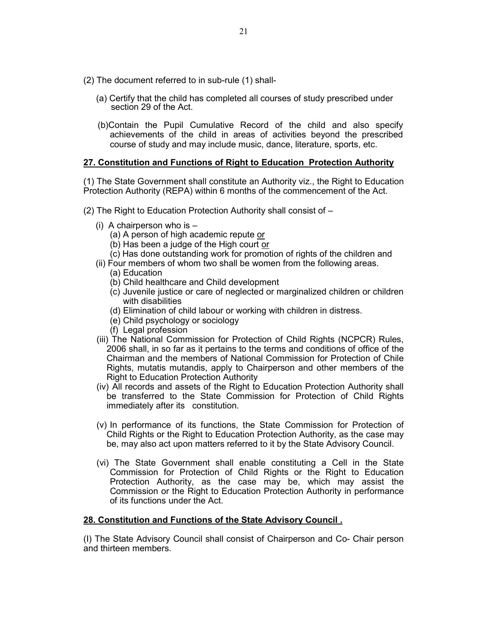- (2) The document referred to in sub-rule (1) shall-
	- (a) Certify that the child has completed all courses of study prescribed under section 29 of the Act.
	- (b)Contain the Pupil Cumulative Record of the child and also specify achievements of the child in areas of activities beyond the prescribed course of study and may include music, dance, literature, sports, etc.

# **27. Constitution and Functions of Right to Education Protection Authority**

(1) The State Government shall constitute an Authority viz., the Right to Education Protection Authority (REPA) within 6 months of the commencement of the Act.

- (2) The Right to Education Protection Authority shall consist of
	- (i) A chairperson who is  $-$ 
		- (a) A person of high academic repute or
		- (b) Has been a judge of the High court or
		- (c) Has done outstanding work for promotion of rights of the children and
	- (ii) Four members of whom two shall be women from the following areas.
		- (a) Education
		- (b) Child healthcare and Child development
		- (c) Juvenile justice or care of neglected or marginalized children or children with disabilities
		- (d) Elimination of child labour or working with children in distress.
		- (e) Child psychology or sociology
		- (f) Legal profession
	- (iii) The National Commission for Protection of Child Rights (NCPCR) Rules, 2006 shall, in so far as it pertains to the terms and conditions of office of the Chairman and the members of National Commission for Protection of Chile Rights, mutatis mutandis, apply to Chairperson and other members of the Right to Education Protection Authority
	- (iv) All records and assets of the Right to Education Protection Authority shall be transferred to the State Commission for Protection of Child Rights immediately after its constitution.
	- (v) In performance of its functions, the State Commission for Protection of Child Rights or the Right to Education Protection Authority, as the case may be, may also act upon matters referred to it by the State Advisory Council.
	- (vi) The State Government shall enable constituting a Cell in the State Commission for Protection of Child Rights or the Right to Education Protection Authority, as the case may be, which may assist the Commission or the Right to Education Protection Authority in performance of its functions under the Act.

# **28. Constitution and Functions of the State Advisory Council .**

(I) The State Advisory Council shall consist of Chairperson and Co- Chair person and thirteen members.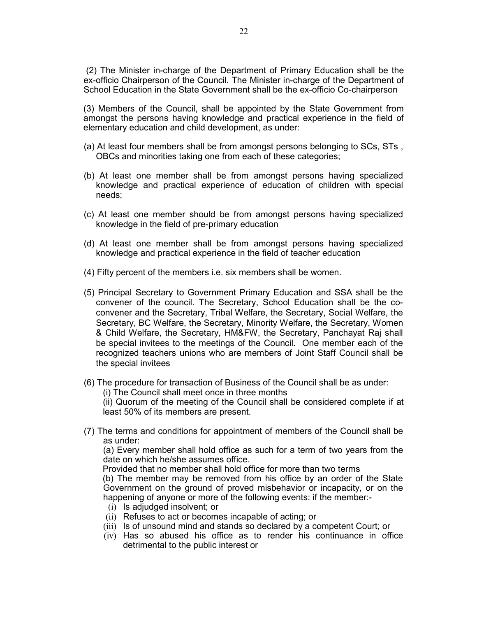(2) The Minister in-charge of the Department of Primary Education shall be the ex-officio Chairperson of the Council. The Minister in-charge of the Department of School Education in the State Government shall be the ex-officio Co-chairperson

(3) Members of the Council, shall be appointed by the State Government from amongst the persons having knowledge and practical experience in the field of elementary education and child development, as under:

- (a) At least four members shall be from amongst persons belonging to SCs, STs , OBCs and minorities taking one from each of these categories;
- (b) At least one member shall be from amongst persons having specialized knowledge and practical experience of education of children with special needs;
- (c) At least one member should be from amongst persons having specialized knowledge in the field of pre-primary education
- (d) At least one member shall be from amongst persons having specialized knowledge and practical experience in the field of teacher education
- (4) Fifty percent of the members i.e. six members shall be women.
- (5) Principal Secretary to Government Primary Education and SSA shall be the convener of the council. The Secretary, School Education shall be the coconvener and the Secretary, Tribal Welfare, the Secretary, Social Welfare, the Secretary, BC Welfare, the Secretary, Minority Welfare, the Secretary, Women & Child Welfare, the Secretary, HM&FW, the Secretary, Panchayat Raj shall be special invitees to the meetings of the Council. One member each of the recognized teachers unions who are members of Joint Staff Council shall be the special invitees
- (6) The procedure for transaction of Business of the Council shall be as under: (i) The Council shall meet once in three months (ii) Quorum of the meeting of the Council shall be considered complete if at least 50% of its members are present.
- (7) The terms and conditions for appointment of members of the Council shall be as under:

(a) Every member shall hold office as such for a term of two years from the date on which he/she assumes office.

Provided that no member shall hold office for more than two terms

(b) The member may be removed from his office by an order of the State Government on the ground of proved misbehavior or incapacity, or on the happening of anyone or more of the following events: if the member:-

- (i) Is adjudged insolvent; or
- (ii) Refuses to act or becomes incapable of acting; or
- (iii) Is of unsound mind and stands so declared by a competent Court; or
- (iv) Has so abused his office as to render his continuance in office detrimental to the public interest or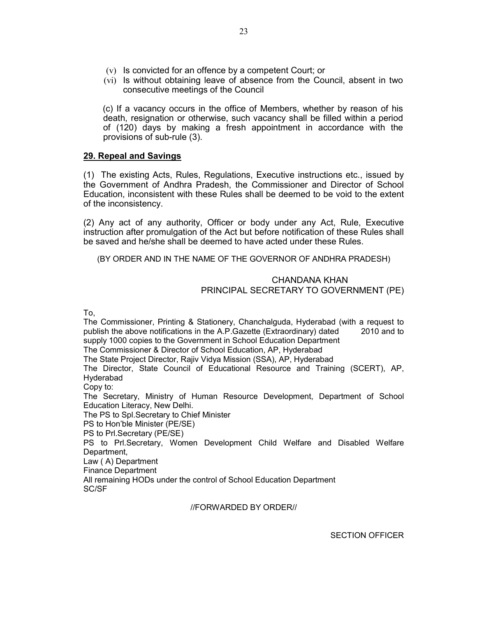- (v) Is convicted for an offence by a competent Court; or
- (vi) Is without obtaining leave of absence from the Council, absent in two consecutive meetings of the Council

(c) If a vacancy occurs in the office of Members, whether by reason of his death, resignation or otherwise, such vacancy shall be filled within a period of (120) days by making a fresh appointment in accordance with the provisions of sub-rule (3).

# **29. Repeal and Savings**

(1) The existing Acts, Rules, Regulations, Executive instructions etc., issued by the Government of Andhra Pradesh, the Commissioner and Director of School Education, inconsistent with these Rules shall be deemed to be void to the extent of the inconsistency.

(2) Any act of any authority, Officer or body under any Act, Rule, Executive instruction after promulgation of the Act but before notification of these Rules shall be saved and he/she shall be deemed to have acted under these Rules.

(BY ORDER AND IN THE NAME OF THE GOVERNOR OF ANDHRA PRADESH)

# CHANDANA KHAN PRINCIPAL SECRETARY TO GOVERNMENT (PE)

To,

The Commissioner, Printing & Stationery, Chanchalguda, Hyderabad (with a request to publish the above notifications in the A.P.Gazette (Extraordinary) dated 2010 and to supply 1000 copies to the Government in School Education Department The Commissioner & Director of School Education, AP, Hyderabad The State Project Director, Rajiv Vidya Mission (SSA), AP, Hyderabad The Director, State Council of Educational Resource and Training (SCERT), AP, Hyderabad Copy to: The Secretary, Ministry of Human Resource Development, Department of School Education Literacy, New Delhi. The PS to Spl.Secretary to Chief Minister PS to Hon'ble Minister (PE/SE) PS to Prl.Secretary (PE/SE) PS to Prl.Secretary, Women Development Child Welfare and Disabled Welfare Department, Law ( A) Department Finance Department All remaining HODs under the control of School Education Department SC/SF

//FORWARDED BY ORDER//

SECTION OFFICER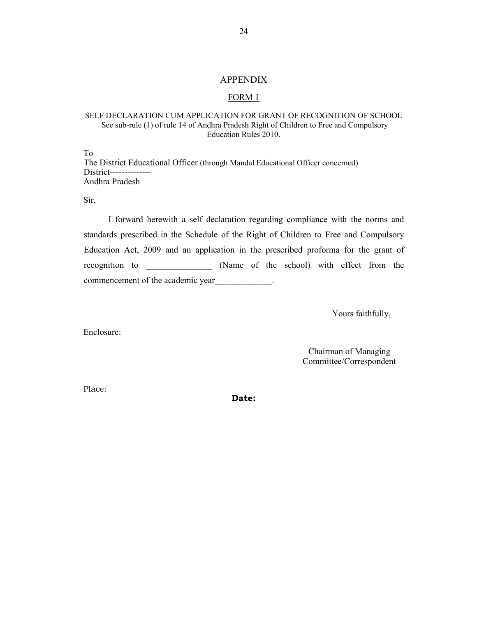#### APPENDIX

## FORM 1

## SELF DECLARATION CUM APPLICATION FOR GRANT OF RECOGNITION OF SCHOOL See sub-rule (1) of rule 14 of Andhra Pradesh Right of Children to Free and Compulsory Education Rules 2010.

To The District Educational Officer (through Mandal Educational Officer concerned) District-------------- Andhra Pradesh

Sir,

I forward herewith a self declaration regarding compliance with the norms and standards prescribed in the Schedule of the Right of Children to Free and Compulsory Education Act, 2009 and an application in the prescribed proforma for the grant of recognition to \_\_\_\_\_\_\_\_\_\_\_\_\_\_\_ (Name of the school) with effect from the commencement of the academic year  $\qquad \qquad$ 

Yours faithfully,

Enclosure:

Chairman of Managing Committee/Correspondent

Place:

**Date:**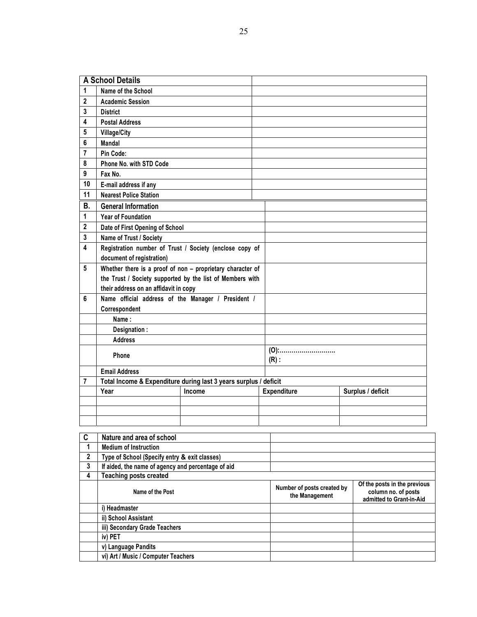**A School Details 1 Name of the School 2 Academic Session 3 District 4 Postal Address 5 Village/City 6 Mandal 7 Pin Code: 8 Phone No. with STD Code 9 Fax No. 10 E-mail address if any 11 Nearest Police Station B. General Information 1 Year of Foundation 2 Date of First Opening of School 3 Name of Trust / Society 4 Registration number of Trust / Society (enclose copy of document of registration) 5 Whether there is a proof of non – proprietary character of the Trust / Society supported by the list of Members with their address on an affidavit in copy 6 Name official address of the Manager / President / Correspondent Name : Designation : Address Phone (O):………………………. (R) : Email Address 7 Total Income & Expenditure during last 3 years surplus / deficit Year** Income **Expenditure** Surplus / deficit

| C            | Nature and area of school                          |                                              |                                                                                 |
|--------------|----------------------------------------------------|----------------------------------------------|---------------------------------------------------------------------------------|
| 1            | <b>Medium of Instruction</b>                       |                                              |                                                                                 |
| $\mathbf{2}$ | Type of School (Specify entry & exit classes)      |                                              |                                                                                 |
| 3            | If aided, the name of agency and percentage of aid |                                              |                                                                                 |
| 4            | <b>Teaching posts created</b>                      |                                              |                                                                                 |
|              | Name of the Post                                   | Number of posts created by<br>the Management | Of the posts in the previous<br>column no. of posts<br>admitted to Grant-in-Aid |
|              | i) Headmaster                                      |                                              |                                                                                 |
|              | ii) School Assistant                               |                                              |                                                                                 |
|              | iii) Secondary Grade Teachers                      |                                              |                                                                                 |
|              | iv) PET                                            |                                              |                                                                                 |
|              | v) Language Pandits                                |                                              |                                                                                 |
|              | vi) Art / Music / Computer Teachers                |                                              |                                                                                 |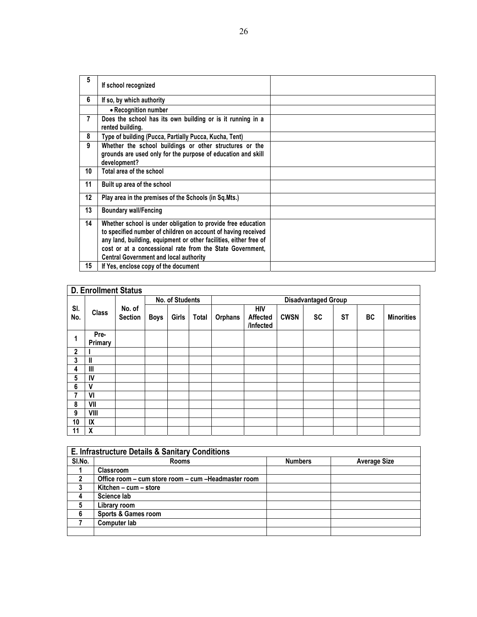| 5              | If school recognized                                                                                                                                                                                                                                                                                             |  |
|----------------|------------------------------------------------------------------------------------------------------------------------------------------------------------------------------------------------------------------------------------------------------------------------------------------------------------------|--|
| 6              | If so, by which authority                                                                                                                                                                                                                                                                                        |  |
|                | • Recognition number                                                                                                                                                                                                                                                                                             |  |
| $\overline{7}$ | Does the school has its own building or is it running in a<br>rented building.                                                                                                                                                                                                                                   |  |
| 8              | Type of building (Pucca, Partially Pucca, Kucha, Tent)                                                                                                                                                                                                                                                           |  |
| 9              | Whether the school buildings or other structures or the<br>grounds are used only for the purpose of education and skill<br>development?                                                                                                                                                                          |  |
| 10             | Total area of the school                                                                                                                                                                                                                                                                                         |  |
| 11             | Built up area of the school                                                                                                                                                                                                                                                                                      |  |
| 12             | Play area in the premises of the Schools (in Sq.Mts.)                                                                                                                                                                                                                                                            |  |
| 13             | <b>Boundary wall/Fencing</b>                                                                                                                                                                                                                                                                                     |  |
| 14             | Whether school is under obligation to provide free education<br>to specified number of children on account of having received<br>any land, building, equipment or other facilities, either free of<br>cost or at a concessional rate from the State Government,<br><b>Central Government and local authority</b> |  |
| 15             | If Yes, enclose copy of the document                                                                                                                                                                                                                                                                             |  |
|                |                                                                                                                                                                                                                                                                                                                  |  |

|              | <b>D. Enrollment Status</b> |                          |                 |       |              |                |                              |             |           |           |    |                   |
|--------------|-----------------------------|--------------------------|-----------------|-------|--------------|----------------|------------------------------|-------------|-----------|-----------|----|-------------------|
|              |                             |                          | No. of Students |       |              |                | <b>Disadvantaged Group</b>   |             |           |           |    |                   |
| SI.<br>No.   | <b>Class</b>                | No. of<br><b>Section</b> | Boys            | Girls | <b>Total</b> | <b>Orphans</b> | HIV<br>Affected<br>/Infected | <b>CWSN</b> | <b>SC</b> | <b>ST</b> | BC | <b>Minorities</b> |
| 1            | Pre-<br>Primary             |                          |                 |       |              |                |                              |             |           |           |    |                   |
| $\mathbf{2}$ |                             |                          |                 |       |              |                |                              |             |           |           |    |                   |
| 3            | Ш                           |                          |                 |       |              |                |                              |             |           |           |    |                   |
| 4            | Ш                           |                          |                 |       |              |                |                              |             |           |           |    |                   |
| 5            | IV                          |                          |                 |       |              |                |                              |             |           |           |    |                   |
| 6            | V                           |                          |                 |       |              |                |                              |             |           |           |    |                   |
| 7            | VI                          |                          |                 |       |              |                |                              |             |           |           |    |                   |
| 8            | VII                         |                          |                 |       |              |                |                              |             |           |           |    |                   |
| 9            | VIII                        |                          |                 |       |              |                |                              |             |           |           |    |                   |
| 10           | IX                          |                          |                 |       |              |                |                              |             |           |           |    |                   |
| 11           | X                           |                          |                 |       |              |                |                              |             |           |           |    |                   |

| E. Infrastructure Details & Sanitary Conditions |                                                      |                |                     |  |  |  |  |
|-------------------------------------------------|------------------------------------------------------|----------------|---------------------|--|--|--|--|
| SI.No.                                          | <b>Rooms</b>                                         | <b>Numbers</b> | <b>Average Size</b> |  |  |  |  |
|                                                 | <b>Classroom</b>                                     |                |                     |  |  |  |  |
| 2                                               | Office room - cum store room - cum - Headmaster room |                |                     |  |  |  |  |
|                                                 | Kitchen - cum - store                                |                |                     |  |  |  |  |
|                                                 | Science lab                                          |                |                     |  |  |  |  |
| 5                                               | Library room                                         |                |                     |  |  |  |  |
| 6                                               | Sports & Games room                                  |                |                     |  |  |  |  |
|                                                 | Computer lab                                         |                |                     |  |  |  |  |
|                                                 |                                                      |                |                     |  |  |  |  |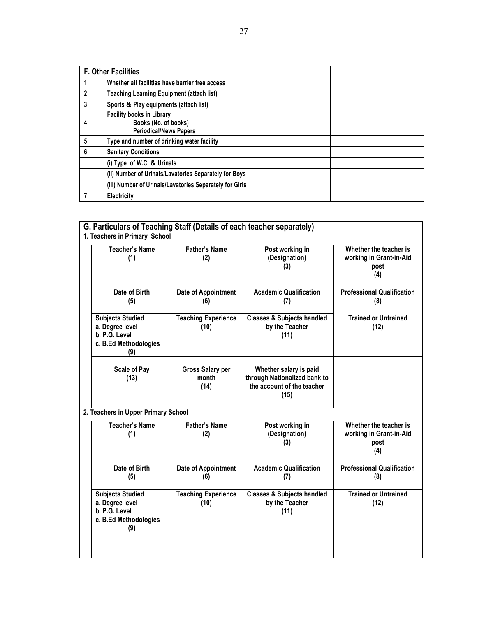|              | <b>F. Other Facilities</b>                                                                |  |  |  |  |
|--------------|-------------------------------------------------------------------------------------------|--|--|--|--|
|              | Whether all facilities have barrier free access                                           |  |  |  |  |
| $\mathbf{2}$ | <b>Teaching Learning Equipment (attach list)</b>                                          |  |  |  |  |
| 3            | Sports & Play equipments (attach list)                                                    |  |  |  |  |
| 4            | <b>Facility books in Library</b><br>Books (No. of books)<br><b>Periodical/News Papers</b> |  |  |  |  |
| 5            | Type and number of drinking water facility                                                |  |  |  |  |
| 6            | <b>Sanitary Conditions</b>                                                                |  |  |  |  |
|              | (i) Type of W.C. & Urinals                                                                |  |  |  |  |
|              | (ii) Number of Urinals/Lavatories Separately for Boys                                     |  |  |  |  |
|              | (iii) Number of Urinals/Lavatories Separately for Girls                                   |  |  |  |  |
|              | Electricity                                                                               |  |  |  |  |

| G. Particulars of Teaching Staff (Details of each teacher separately)                       |                                          |                                                                                              |                                                                  |  |
|---------------------------------------------------------------------------------------------|------------------------------------------|----------------------------------------------------------------------------------------------|------------------------------------------------------------------|--|
| 1. Teachers in Primary School                                                               |                                          |                                                                                              |                                                                  |  |
| <b>Teacher's Name</b><br>(1)                                                                | <b>Father's Name</b><br>(2)              | Post working in<br>(Designation)<br>(3)                                                      | Whether the teacher is<br>working in Grant-in-Aid<br>post<br>(4) |  |
| Date of Birth<br>(5)                                                                        | Date of Appointment<br>(6)               | <b>Academic Qualification</b><br>(7)                                                         | <b>Professional Qualification</b><br>(8)                         |  |
| <b>Subjects Studied</b><br>a. Degree level<br>b. P.G. Level<br>c. B.Ed Methodologies<br>(9) | <b>Teaching Experience</b><br>(10)       | <b>Classes &amp; Subjects handled</b><br>by the Teacher<br>(11)                              | <b>Trained or Untrained</b><br>(12)                              |  |
| <b>Scale of Pay</b><br>(13)                                                                 | <b>Gross Salary per</b><br>month<br>(14) | Whether salary is paid<br>through Nationalized bank to<br>the account of the teacher<br>(15) |                                                                  |  |
| 2. Teachers in Upper Primary School                                                         |                                          |                                                                                              |                                                                  |  |
| <b>Teacher's Name</b><br>(1)                                                                | <b>Father's Name</b><br>(2)              | Post working in<br>(Designation)<br>(3)                                                      | Whether the teacher is<br>working in Grant-in-Aid<br>post<br>(4) |  |
| Date of Birth<br>(5)                                                                        | Date of Appointment<br>(6)               | <b>Academic Qualification</b><br>(7)                                                         | <b>Professional Qualification</b><br>(8)                         |  |
| <b>Subjects Studied</b><br>a. Degree level<br>b. P.G. Level<br>c. B.Ed Methodologies<br>(9) | <b>Teaching Experience</b><br>(10)       | <b>Classes &amp; Subjects handled</b><br>by the Teacher<br>(11)                              | <b>Trained or Untrained</b><br>(12)                              |  |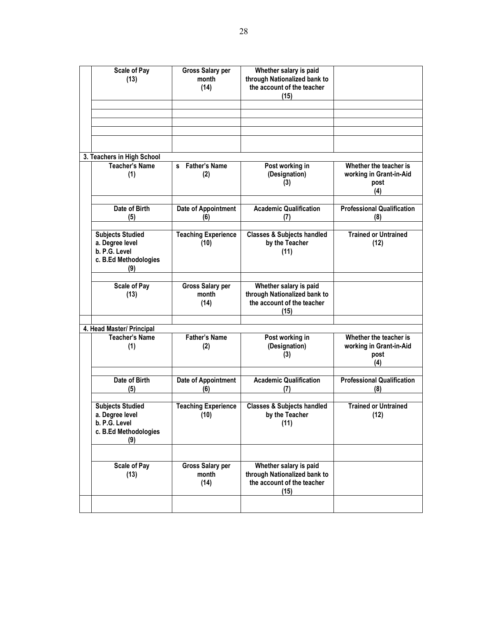| <b>Scale of Pay</b><br>(13) |                                                                                             | <b>Gross Salary per</b><br>month<br>(14) | Whether salary is paid<br>through Nationalized bank to<br>the account of the teacher<br>(15) |                                                                  |
|-----------------------------|---------------------------------------------------------------------------------------------|------------------------------------------|----------------------------------------------------------------------------------------------|------------------------------------------------------------------|
|                             |                                                                                             |                                          |                                                                                              |                                                                  |
|                             |                                                                                             |                                          |                                                                                              |                                                                  |
|                             |                                                                                             |                                          |                                                                                              |                                                                  |
|                             |                                                                                             |                                          |                                                                                              |                                                                  |
|                             | 3. Teachers in High School                                                                  |                                          |                                                                                              |                                                                  |
|                             | <b>Teacher's Name</b><br>(1)                                                                | <b>Father's Name</b><br>s.<br>(2)        | Post working in<br>(Designation)<br>(3)                                                      | Whether the teacher is<br>working in Grant-in-Aid<br>post<br>(4) |
|                             | Date of Birth                                                                               | Date of Appointment                      | <b>Academic Qualification</b>                                                                | <b>Professional Qualification</b>                                |
|                             | (5)                                                                                         | (6)                                      | (7)                                                                                          | (8)                                                              |
|                             |                                                                                             |                                          |                                                                                              |                                                                  |
|                             | <b>Subjects Studied</b><br>a. Degree level<br>b. P.G. Level<br>c. B.Ed Methodologies<br>(9) | <b>Teaching Experience</b><br>(10)       | <b>Classes &amp; Subjects handled</b><br>by the Teacher<br>(11)                              | <b>Trained or Untrained</b><br>(12)                              |
|                             |                                                                                             |                                          |                                                                                              |                                                                  |
|                             | <b>Scale of Pay</b><br>(13)                                                                 | <b>Gross Salary per</b><br>month<br>(14) | Whether salary is paid<br>through Nationalized bank to<br>the account of the teacher<br>(15) |                                                                  |
|                             |                                                                                             |                                          |                                                                                              |                                                                  |
|                             | 4. Head Master/ Principal<br><b>Teacher's Name</b>                                          | <b>Father's Name</b>                     | Post working in                                                                              | Whether the teacher is                                           |
|                             | (1)                                                                                         | (2)                                      | (Designation)<br>(3)                                                                         | working in Grant-in-Aid<br>post<br>(4)                           |
|                             | Date of Birth                                                                               |                                          | <b>Academic Qualification</b>                                                                | <b>Professional Qualification</b>                                |
|                             | (5)                                                                                         | Date of Appointment<br>(6)               | (7)                                                                                          | (8)                                                              |
|                             | <b>Subjects Studied</b><br>a. Degree level<br>b. P.G. Level<br>c. B.Ed Methodologies<br>(9) | <b>Teaching Experience</b><br>(10)       | <b>Classes &amp; Subjects handled</b><br>by the Teacher<br>(11)                              | <b>Trained or Untrained</b><br>(12)                              |
|                             |                                                                                             |                                          |                                                                                              |                                                                  |
|                             | <b>Scale of Pay</b><br>(13)                                                                 | <b>Gross Salary per</b><br>month<br>(14) | Whether salary is paid<br>through Nationalized bank to<br>the account of the teacher<br>(15) |                                                                  |
|                             |                                                                                             |                                          |                                                                                              |                                                                  |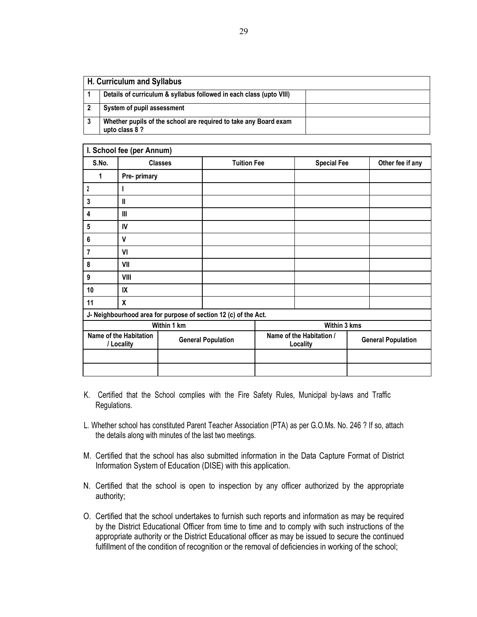| H. Curriculum and Syllabus                                                         |  |  |  |  |  |  |
|------------------------------------------------------------------------------------|--|--|--|--|--|--|
| Details of curriculum & syllabus followed in each class (upto VIII)                |  |  |  |  |  |  |
| System of pupil assessment                                                         |  |  |  |  |  |  |
| Whether pupils of the school are required to take any Board exam<br>upto class 8 ? |  |  |  |  |  |  |

|                                      | I. School fee (per Annum) |                           |                                                                 |                           |                  |
|--------------------------------------|---------------------------|---------------------------|-----------------------------------------------------------------|---------------------------|------------------|
| S.No.                                |                           | <b>Classes</b>            | <b>Tuition Fee</b>                                              | <b>Special Fee</b>        | Other fee if any |
| 1                                    | Pre- primary              |                           |                                                                 |                           |                  |
| $\boldsymbol{2}$                     | ı                         |                           |                                                                 |                           |                  |
| $\mathbf 3$                          | $\mathbf l$               |                           |                                                                 |                           |                  |
| 4                                    | Ш                         |                           |                                                                 |                           |                  |
| ${\bf 5}$                            | IV                        |                           |                                                                 |                           |                  |
| 6                                    | V                         |                           |                                                                 |                           |                  |
| 7                                    | VI                        |                           |                                                                 |                           |                  |
| 8                                    | VII                       |                           |                                                                 |                           |                  |
| 9                                    | VIII                      |                           |                                                                 |                           |                  |
| 10                                   | IX                        |                           |                                                                 |                           |                  |
| 11                                   | $\boldsymbol{x}$          |                           |                                                                 |                           |                  |
|                                      |                           |                           | J- Neighbourhood area for purpose of section 12 (c) of the Act. |                           |                  |
|                                      |                           | Within 1 km               |                                                                 | Within 3 kms              |                  |
| Name of the Habitation<br>/ Locality |                           | <b>General Population</b> | Name of the Habitation /<br>Locality                            | <b>General Population</b> |                  |
|                                      |                           |                           |                                                                 |                           |                  |
|                                      |                           |                           |                                                                 |                           |                  |

- K. Certified that the School complies with the Fire Safety Rules, Municipal by-laws and Traffic Regulations.
- L. Whether school has constituted Parent Teacher Association (PTA) as per G.O.Ms. No. 246 ? If so, attach the details along with minutes of the last two meetings.
- M. Certified that the school has also submitted information in the Data Capture Format of District Information System of Education (DISE) with this application.
- N. Certified that the school is open to inspection by any officer authorized by the appropriate authority;
- O. Certified that the school undertakes to furnish such reports and information as may be required by the District Educational Officer from time to time and to comply with such instructions of the appropriate authority or the District Educational officer as may be issued to secure the continued fulfillment of the condition of recognition or the removal of deficiencies in working of the school;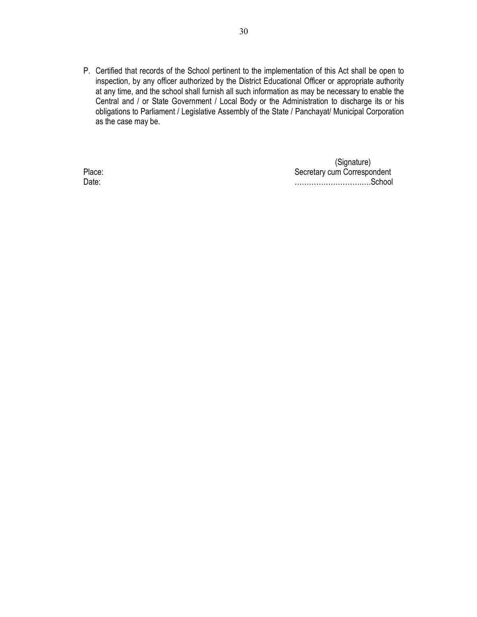P. Certified that records of the School pertinent to the implementation of this Act shall be open to inspection, by any officer authorized by the District Educational Officer or appropriate authority at any time, and the school shall furnish all such information as may be necessary to enable the Central and / or State Government / Local Body or the Administration to discharge its or his obligations to Parliament / Legislative Assembly of the State / Panchayat/ Municipal Corporation as the case may be.

 (Signature) Place: **Secretary cum Correspondent** Date: ……………………….….School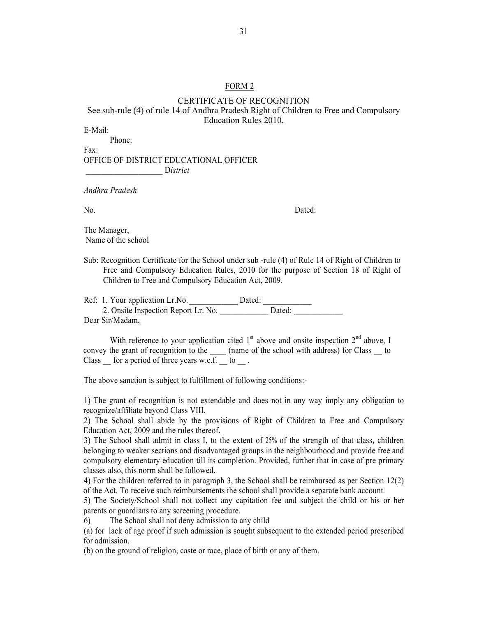## FORM 2

#### CERTIFICATE OF RECOGNITION See sub-rule (4) of rule 14 of Andhra Pradesh Right of Children to Free and Compulsory Education Rules 2010.

E-Mail:

 Phone: Fax:

# OFFICE OF DISTRICT EDUCATIONAL OFFICER \_\_\_\_\_\_\_\_\_\_\_\_\_\_\_\_\_\_\_ D*istrict*

*Andhra Pradesh* 

No. Dated:

The Manager, Name of the school

Sub: Recognition Certificate for the School under sub -rule (4) of Rule 14 of Right of Children to Free and Compulsory Education Rules, 2010 for the purpose of Section 18 of Right of Children to Free and Compulsory Education Act, 2009.

Ref: 1. Your application Lr.No. \_\_\_\_\_\_\_\_\_\_\_\_ Dated: \_\_\_\_\_\_\_\_\_\_\_\_ 2. Onsite Inspection Report Lr. No. Dated: Dear Sir/Madam,

With reference to your application cited  $1<sup>st</sup>$  above and onsite inspection  $2<sup>nd</sup>$  above, I convey the grant of recognition to the  $\qquad$  (name of the school with address) for Class to Class  $\Box$  for a period of three years w.e.f.  $\Box$  to  $\Box$ .

The above sanction is subject to fulfillment of following conditions:-

1) The grant of recognition is not extendable and does not in any way imply any obligation to recognize/affiliate beyond Class VIII.

2) The School shall abide by the provisions of Right of Children to Free and Compulsory Education Act, 2009 and the rules thereof.

3) The School shall admit in class I, to the extent of 25% of the strength of that class, children belonging to weaker sections and disadvantaged groups in the neighbourhood and provide free and compulsory elementary education till its completion. Provided, further that in case of pre primary classes also, this norm shall be followed.

4) For the children referred to in paragraph 3, the School shall be reimbursed as per Section 12(2) of the Act. To receive such reimbursements the school shall provide a separate bank account.

5) The Society/School shall not collect any capitation fee and subject the child or his or her parents or guardians to any screening procedure.

6) The School shall not deny admission to any child

(a) for lack of age proof if such admission is sought subsequent to the extended period prescribed for admission.

(b) on the ground of religion, caste or race, place of birth or any of them.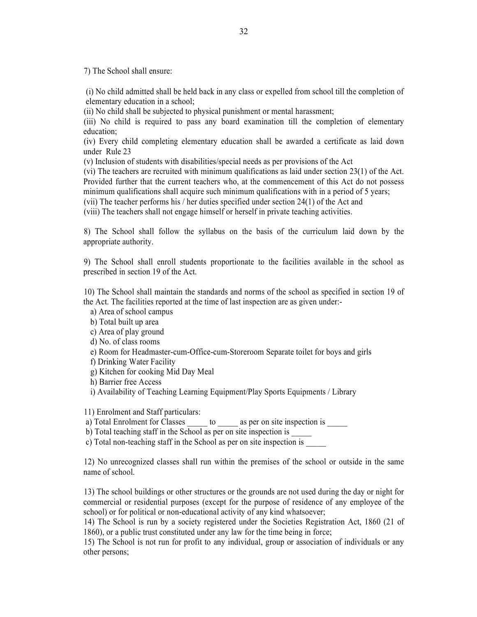7) The School shall ensure:

(i) No child admitted shall be held back in any class or expelled from school till the completion of elementary education in a school;

(ii) No child shall be subjected to physical punishment or mental harassment;

(iii) No child is required to pass any board examination till the completion of elementary education;

(iv) Every child completing elementary education shall be awarded a certificate as laid down under Rule 23

(v) Inclusion of students with disabilities/special needs as per provisions of the Act

(vi) The teachers are recruited with minimum qualifications as laid under section 23(1) of the Act. Provided further that the current teachers who, at the commencement of this Act do not possess minimum qualifications shall acquire such minimum qualifications with in a period of 5 years;

(vii) The teacher performs his / her duties specified under section 24(1) of the Act and

(viii) The teachers shall not engage himself or herself in private teaching activities.

8) The School shall follow the syllabus on the basis of the curriculum laid down by the appropriate authority.

9) The School shall enroll students proportionate to the facilities available in the school as prescribed in section 19 of the Act.

10) The School shall maintain the standards and norms of the school as specified in section 19 of the Act. The facilities reported at the time of last inspection are as given under:-

a) Area of school campus

b) Total built up area

c) Area of play ground

d) No. of class rooms

e) Room for Headmaster-cum-Office-cum-Storeroom Separate toilet for boys and girls

f) Drinking Water Facility

g) Kitchen for cooking Mid Day Meal

h) Barrier free Access

i) Availability of Teaching Learning Equipment/Play Sports Equipments / Library

11) Enrolment and Staff particulars:

a) Total Enrolment for Classes \_\_\_\_\_\_ to \_\_\_\_\_\_ as per on site inspection is \_\_\_\_\_

b) Total teaching staff in the School as per on site inspection is

c) Total non-teaching staff in the School as per on site inspection is \_\_\_\_\_

12) No unrecognized classes shall run within the premises of the school or outside in the same name of school.

13) The school buildings or other structures or the grounds are not used during the day or night for commercial or residential purposes (except for the purpose of residence of any employee of the school) or for political or non-educational activity of any kind whatsoever;

14) The School is run by a society registered under the Societies Registration Act, 1860 (21 of 1860), or a public trust constituted under any law for the time being in force;

15) The School is not run for profit to any individual, group or association of individuals or any other persons;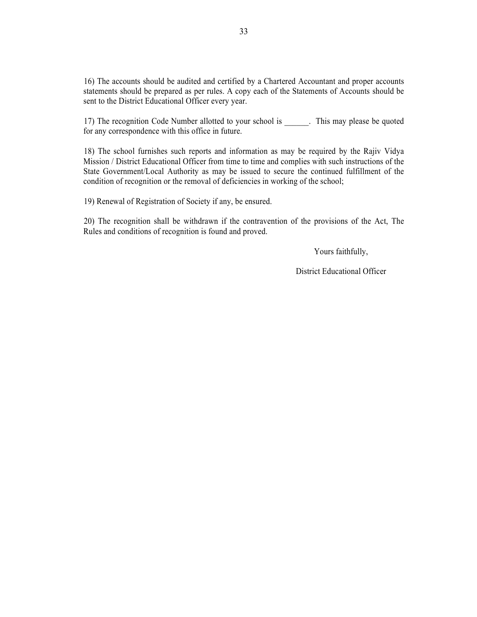16) The accounts should be audited and certified by a Chartered Accountant and proper accounts statements should be prepared as per rules. A copy each of the Statements of Accounts should be sent to the District Educational Officer every year.

17) The recognition Code Number allotted to your school is \_\_\_\_\_\_. This may please be quoted for any correspondence with this office in future.

18) The school furnishes such reports and information as may be required by the Rajiv Vidya Mission / District Educational Officer from time to time and complies with such instructions of the State Government/Local Authority as may be issued to secure the continued fulfillment of the condition of recognition or the removal of deficiencies in working of the school;

19) Renewal of Registration of Society if any, be ensured.

20) The recognition shall be withdrawn if the contravention of the provisions of the Act, The Rules and conditions of recognition is found and proved.

Yours faithfully,

District Educational Officer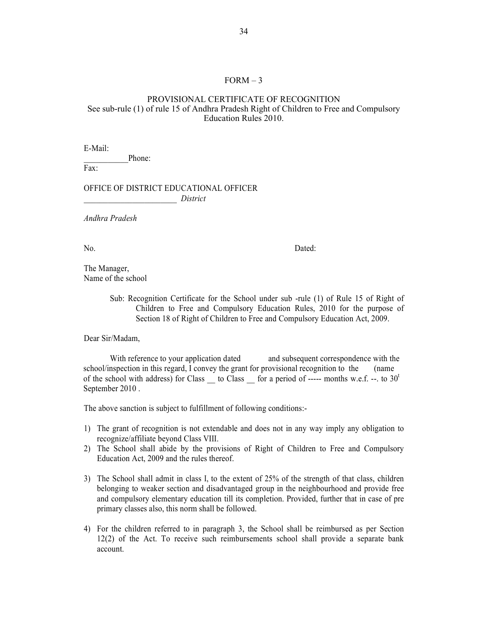#### $FORM-3$

## PROVISIONAL CERTIFICATE OF RECOGNITION See sub-rule (1) of rule 15 of Andhra Pradesh Right of Children to Free and Compulsory Education Rules 2010.

E-Mail:

Phone:

Fax:

## OFFICE OF DISTRICT EDUCATIONAL OFFICER \_\_\_\_\_\_\_\_\_\_\_\_\_\_\_\_\_\_\_\_\_\_\_ *District*

*Andhra Pradesh* 

No. Dated:

The Manager, Name of the school

> Sub: Recognition Certificate for the School under sub -rule (1) of Rule 15 of Right of Children to Free and Compulsory Education Rules, 2010 for the purpose of Section 18 of Right of Children to Free and Compulsory Education Act, 2009.

Dear Sir/Madam,

With reference to your application dated and subsequent correspondence with the school/inspection in this regard, I convey the grant for provisional recognition to the (name of the school with address) for Class  $\_\_$  to Class  $\_\_$  for a period of ----- months w.e.f. --. to 30<sup>t</sup> September 2010 .

The above sanction is subject to fulfillment of following conditions:-

- 1) The grant of recognition is not extendable and does not in any way imply any obligation to recognize/affiliate beyond Class VIII.
- 2) The School shall abide by the provisions of Right of Children to Free and Compulsory Education Act, 2009 and the rules thereof.
- 3) The School shall admit in class I, to the extent of 25% of the strength of that class, children belonging to weaker section and disadvantaged group in the neighbourhood and provide free and compulsory elementary education till its completion. Provided, further that in case of pre primary classes also, this norm shall be followed.
- 4) For the children referred to in paragraph 3, the School shall be reimbursed as per Section 12(2) of the Act. To receive such reimbursements school shall provide a separate bank account.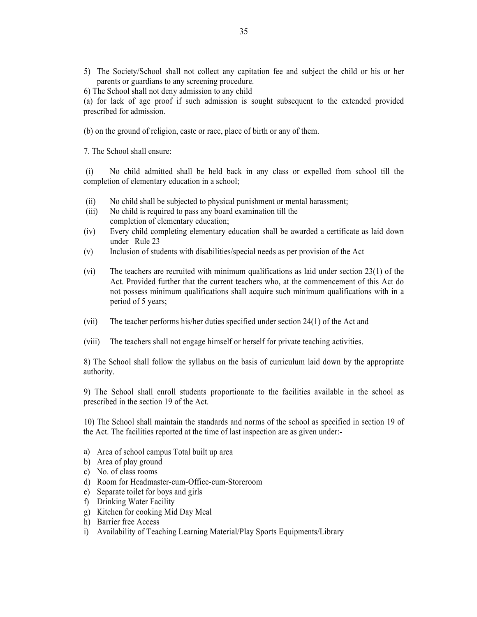5) The Society/School shall not collect any capitation fee and subject the child or his or her parents or guardians to any screening procedure.

6) The School shall not deny admission to any child

(a) for lack of age proof if such admission is sought subsequent to the extended provided prescribed for admission.

(b) on the ground of religion, caste or race, place of birth or any of them.

7. The School shall ensure:

 (i) No child admitted shall be held back in any class or expelled from school till the completion of elementary education in a school;

- (ii) No child shall be subjected to physical punishment or mental harassment;
- (iii) No child is required to pass any board examination till the completion of elementary education;
- (iv) Every child completing elementary education shall be awarded a certificate as laid down under Rule 23
- (v) Inclusion of students with disabilities/special needs as per provision of the Act
- (vi) The teachers are recruited with minimum qualifications as laid under section 23(1) of the Act. Provided further that the current teachers who, at the commencement of this Act do not possess minimum qualifications shall acquire such minimum qualifications with in a period of 5 years;
- (vii) The teacher performs his/her duties specified under section 24(1) of the Act and
- (viii) The teachers shall not engage himself or herself for private teaching activities.

8) The School shall follow the syllabus on the basis of curriculum laid down by the appropriate authority.

9) The School shall enroll students proportionate to the facilities available in the school as prescribed in the section 19 of the Act.

10) The School shall maintain the standards and norms of the school as specified in section 19 of the Act. The facilities reported at the time of last inspection are as given under:-

- a) Area of school campus Total built up area
- b) Area of play ground
- c) No. of class rooms
- d) Room for Headmaster-cum-Office-cum-Storeroom
- e) Separate toilet for boys and girls
- f) Drinking Water Facility
- g) Kitchen for cooking Mid Day Meal
- h) Barrier free Access
- i) Availability of Teaching Learning Material/Play Sports Equipments/Library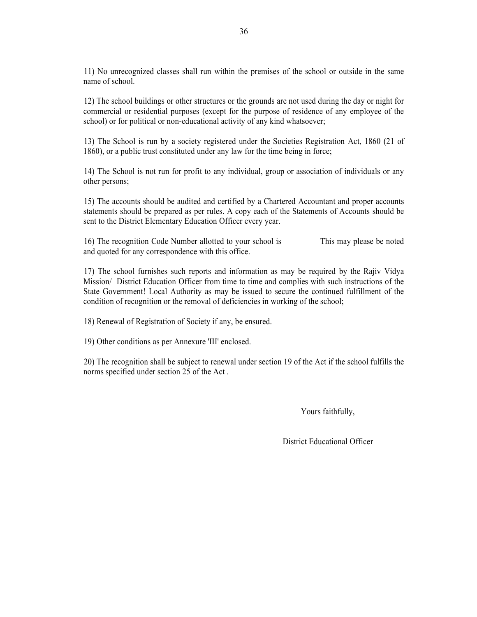11) No unrecognized classes shall run within the premises of the school or outside in the same name of school.

12) The school buildings or other structures or the grounds are not used during the day or night for commercial or residential purposes (except for the purpose of residence of any employee of the school) or for political or non-educational activity of any kind whatsoever;

13) The School is run by a society registered under the Societies Registration Act, 1860 (21 of 1860), or a public trust constituted under any law for the time being in force;

14) The School is not run for profit to any individual, group or association of individuals or any other persons;

15) The accounts should be audited and certified by a Chartered Accountant and proper accounts statements should be prepared as per rules. A copy each of the Statements of Accounts should be sent to the District Elementary Education Officer every year.

16) The recognition Code Number allotted to your school is This may please be noted and quoted for any correspondence with this office.

17) The school furnishes such reports and information as may be required by the Rajiv Vidya Mission/ District Education Officer from time to time and complies with such instructions of the State Government! Local Authority as may be issued to secure the continued fulfillment of the condition of recognition or the removal of deficiencies in working of the school;

18) Renewal of Registration of Society if any, be ensured.

19) Other conditions as per Annexure 'III' enclosed.

20) The recognition shall be subject to renewal under section 19 of the Act if the school fulfills the norms specified under section 25 of the Act .

Yours faithfully,

District Educational Officer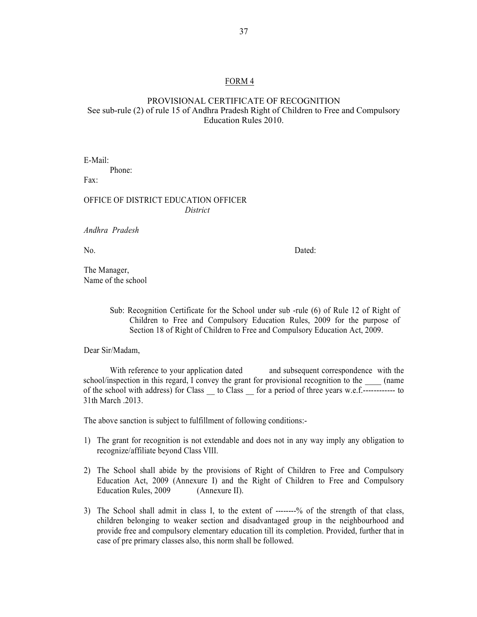#### FORM 4

## PROVISIONAL CERTIFICATE OF RECOGNITION See sub-rule (2) of rule 15 of Andhra Pradesh Right of Children to Free and Compulsory Education Rules 2010.

E-Mail: Phone: Fax:

#### OFFICE OF DISTRICT EDUCATION OFFICER  *District*

*Andhra Pradesh* 

No. Dated:

The Manager, Name of the school

> Sub: Recognition Certificate for the School under sub -rule (6) of Rule 12 of Right of Children to Free and Compulsory Education Rules, 2009 for the purpose of Section 18 of Right of Children to Free and Compulsory Education Act, 2009.

Dear Sir/Madam,

With reference to your application dated and subsequent correspondence with the school/inspection in this regard,  $\hat{I}$  convey the grant for provisional recognition to the  $\qquad$  (name of the school with address) for Class \_\_ to Class \_\_ for a period of three years w.e.f.------------ to 31th March .2013.

The above sanction is subject to fulfillment of following conditions:-

- 1) The grant for recognition is not extendable and does not in any way imply any obligation to recognize/affiliate beyond Class VIII.
- 2) The School shall abide by the provisions of Right of Children to Free and Compulsory Education Act, 2009 (Annexure I) and the Right of Children to Free and Compulsory Education Rules, 2009 (Annexure II).
- 3) The School shall admit in class I, to the extent of --------% of the strength of that class, children belonging to weaker section and disadvantaged group in the neighbourhood and provide free and compulsory elementary education till its completion. Provided, further that in case of pre primary classes also, this norm shall be followed.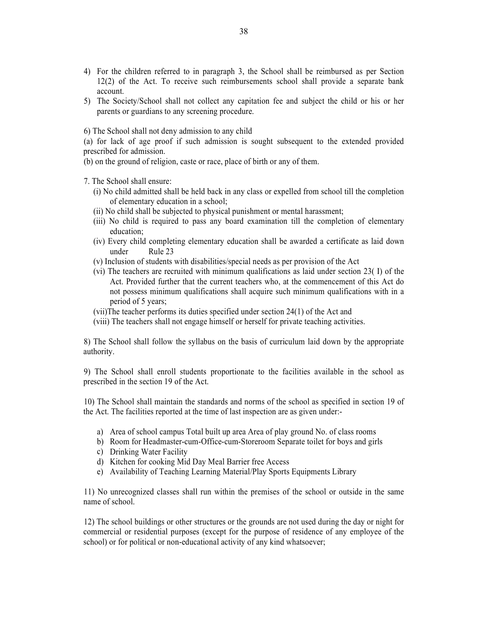- 4) For the children referred to in paragraph 3, the School shall be reimbursed as per Section 12(2) of the Act. To receive such reimbursements school shall provide a separate bank account.
- 5) The Society/School shall not collect any capitation fee and subject the child or his or her parents or guardians to any screening procedure.
- 6) The School shall not deny admission to any child
- (a) for lack of age proof if such admission is sought subsequent to the extended provided prescribed for admission.
- (b) on the ground of religion, caste or race, place of birth or any of them.
- 7. The School shall ensure:
	- (i) No child admitted shall be held back in any class or expelled from school till the completion of elementary education in a school;
	- (ii) No child shall be subjected to physical punishment or mental harassment;
	- (iii) No child is required to pass any board examination till the completion of elementary education;
	- (iv) Every child completing elementary education shall be awarded a certificate as laid down under Rule 23
	- (v) Inclusion of students with disabilities/special needs as per provision of the Act
	- (vi) The teachers are recruited with minimum qualifications as laid under section 23( I) of the Act. Provided further that the current teachers who, at the commencement of this Act do not possess minimum qualifications shall acquire such minimum qualifications with in a period of 5 years;
	- (vii)The teacher performs its duties specified under section 24(1) of the Act and
	- (viii) The teachers shall not engage himself or herself for private teaching activities.

8) The School shall follow the syllabus on the basis of curriculum laid down by the appropriate authority.

9) The School shall enroll students proportionate to the facilities available in the school as prescribed in the section 19 of the Act.

10) The School shall maintain the standards and norms of the school as specified in section 19 of the Act. The facilities reported at the time of last inspection are as given under:-

- a) Area of school campus Total built up area Area of play ground No. of class rooms
- b) Room for Headmaster-cum-Office-cum-Storeroom Separate toilet for boys and girls
- c) Drinking Water Facility
- d) Kitchen for cooking Mid Day Meal Barrier free Access
- e) Availability of Teaching Learning Material/Play Sports Equipments Library

11) No unrecognized classes shall run within the premises of the school or outside in the same name of school.

12) The school buildings or other structures or the grounds are not used during the day or night for commercial or residential purposes (except for the purpose of residence of any employee of the school) or for political or non-educational activity of any kind whatsoever;